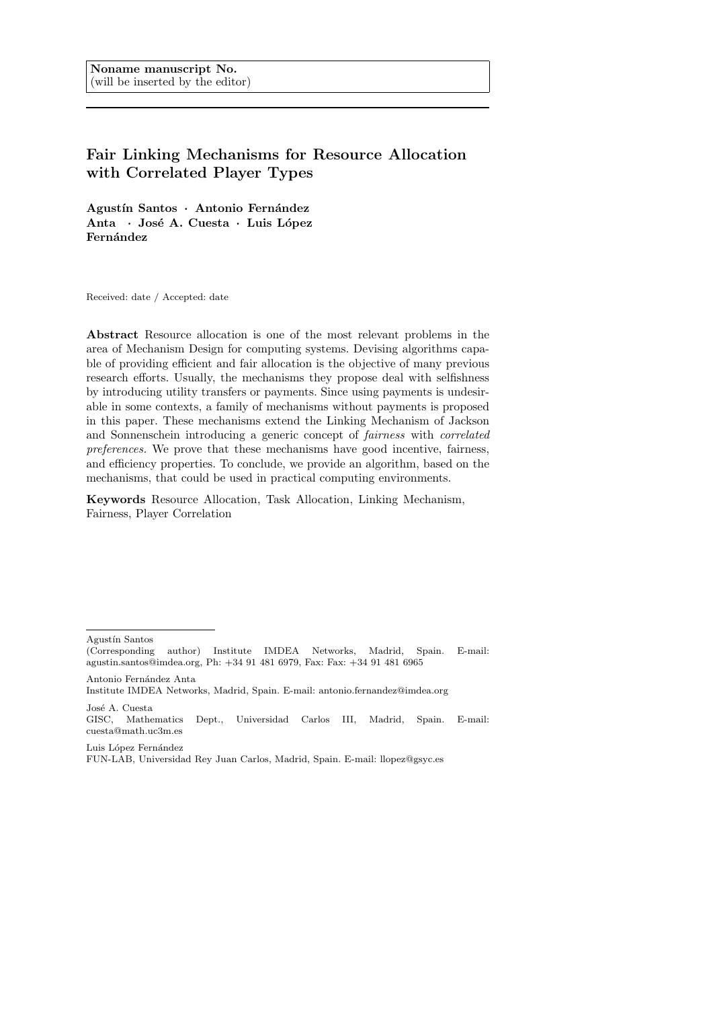# Fair Linking Mechanisms for Resource Allocation with Correlated Player Types

Agustín Santos · Antonio Fernández Anta · José A. Cuesta · Luis López Fernández

Received: date / Accepted: date

Abstract Resource allocation is one of the most relevant problems in the area of Mechanism Design for computing systems. Devising algorithms capable of providing efficient and fair allocation is the objective of many previous research efforts. Usually, the mechanisms they propose deal with selfishness by introducing utility transfers or payments. Since using payments is undesirable in some contexts, a family of mechanisms without payments is proposed in this paper. These mechanisms extend the Linking Mechanism of Jackson and Sonnenschein introducing a generic concept of fairness with correlated preferences. We prove that these mechanisms have good incentive, fairness, and efficiency properties. To conclude, we provide an algorithm, based on the mechanisms, that could be used in practical computing environments.

Keywords Resource Allocation, Task Allocation, Linking Mechanism, Fairness, Player Correlation

Agustín Santos

Antonio Fernández Anta Institute IMDEA Networks, Madrid, Spain. E-mail: antonio.fernandez@imdea.org

Luis López Fernández

<sup>(</sup>Corresponding author) Institute IMDEA Networks, Madrid, Spain. E-mail: agustin.santos@imdea.org, Ph: +34 91 481 6979, Fax: Fax: +34 91 481 6965

José A. Cuesta<br>GISC, Mathematics Dept., Universidad Carlos III, Madrid, Spain. E-mail: cuesta@math.uc3m.es

FUN-LAB, Universidad Rey Juan Carlos, Madrid, Spain. E-mail: llopez@gsyc.es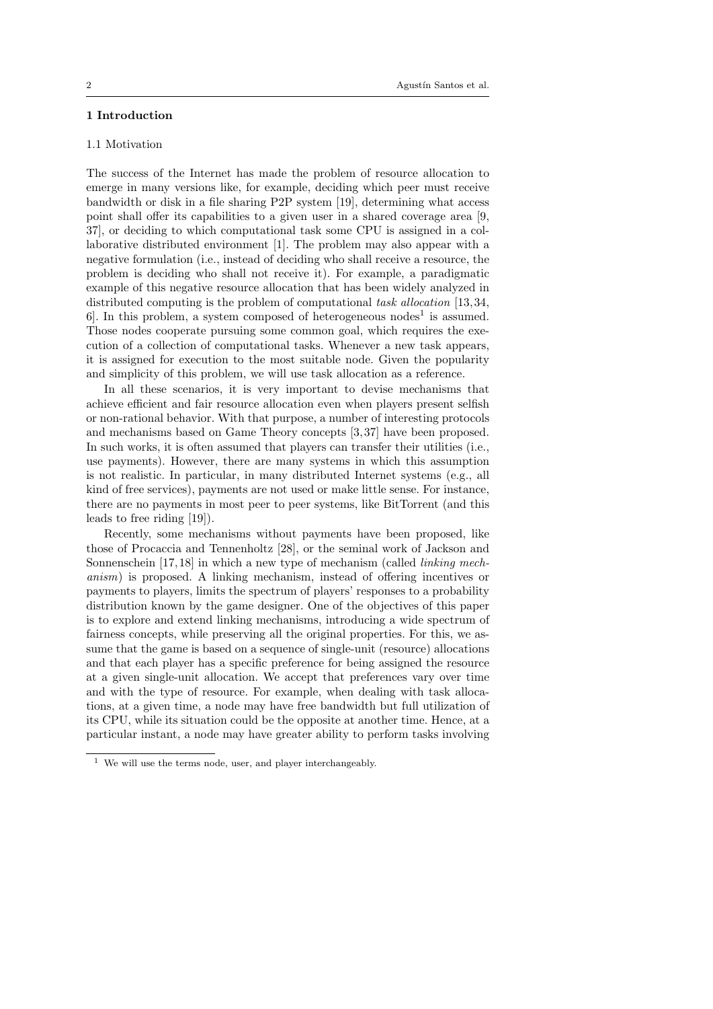# 1 Introduction

## 1.1 Motivation

The success of the Internet has made the problem of resource allocation to emerge in many versions like, for example, deciding which peer must receive bandwidth or disk in a file sharing P2P system [19], determining what access point shall offer its capabilities to a given user in a shared coverage area [9, 37], or deciding to which computational task some CPU is assigned in a collaborative distributed environment [1]. The problem may also appear with a negative formulation (i.e., instead of deciding who shall receive a resource, the problem is deciding who shall not receive it). For example, a paradigmatic example of this negative resource allocation that has been widely analyzed in distributed computing is the problem of computational task allocation [13,34,  $6$ . In this problem, a system composed of heterogeneous nodes<sup>1</sup> is assumed. Those nodes cooperate pursuing some common goal, which requires the execution of a collection of computational tasks. Whenever a new task appears, it is assigned for execution to the most suitable node. Given the popularity and simplicity of this problem, we will use task allocation as a reference.

In all these scenarios, it is very important to devise mechanisms that achieve efficient and fair resource allocation even when players present selfish or non-rational behavior. With that purpose, a number of interesting protocols and mechanisms based on Game Theory concepts [3, 37] have been proposed. In such works, it is often assumed that players can transfer their utilities (i.e., use payments). However, there are many systems in which this assumption is not realistic. In particular, in many distributed Internet systems (e.g., all kind of free services), payments are not used or make little sense. For instance, there are no payments in most peer to peer systems, like BitTorrent (and this leads to free riding [19]).

Recently, some mechanisms without payments have been proposed, like those of Procaccia and Tennenholtz [28], or the seminal work of Jackson and Sonnenschein [17, 18] in which a new type of mechanism (called linking mechanism) is proposed. A linking mechanism, instead of offering incentives or payments to players, limits the spectrum of players' responses to a probability distribution known by the game designer. One of the objectives of this paper is to explore and extend linking mechanisms, introducing a wide spectrum of fairness concepts, while preserving all the original properties. For this, we assume that the game is based on a sequence of single-unit (resource) allocations and that each player has a specific preference for being assigned the resource at a given single-unit allocation. We accept that preferences vary over time and with the type of resource. For example, when dealing with task allocations, at a given time, a node may have free bandwidth but full utilization of its CPU, while its situation could be the opposite at another time. Hence, at a particular instant, a node may have greater ability to perform tasks involving

 $1$  We will use the terms node, user, and player interchangeably.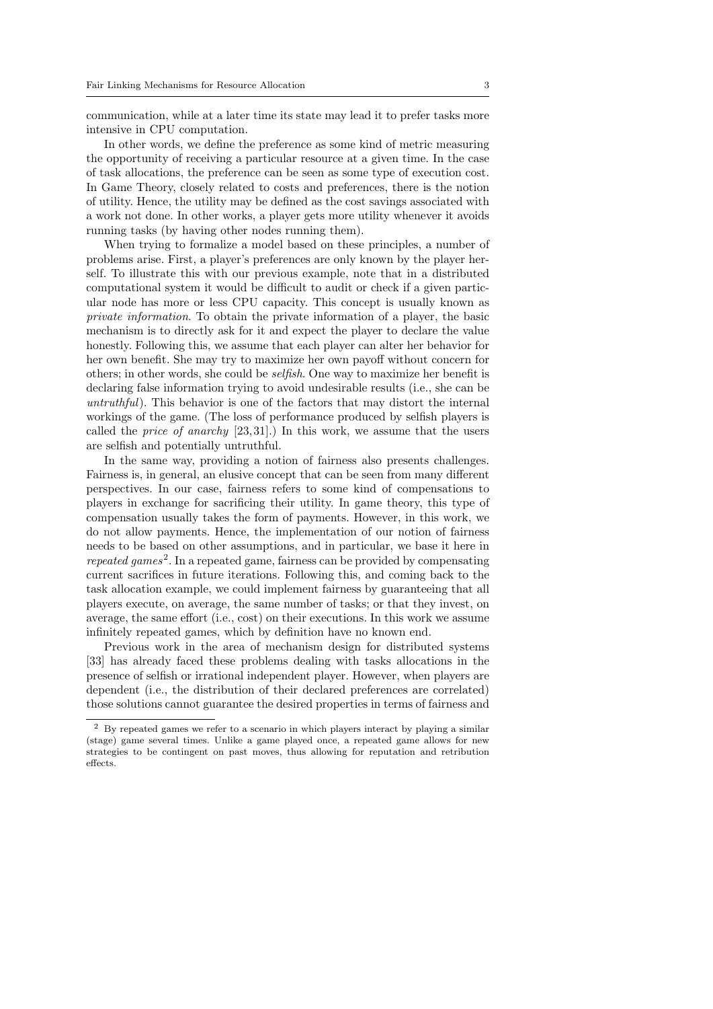communication, while at a later time its state may lead it to prefer tasks more intensive in CPU computation.

In other words, we define the preference as some kind of metric measuring the opportunity of receiving a particular resource at a given time. In the case of task allocations, the preference can be seen as some type of execution cost. In Game Theory, closely related to costs and preferences, there is the notion of utility. Hence, the utility may be defined as the cost savings associated with a work not done. In other works, a player gets more utility whenever it avoids running tasks (by having other nodes running them).

When trying to formalize a model based on these principles, a number of problems arise. First, a player's preferences are only known by the player herself. To illustrate this with our previous example, note that in a distributed computational system it would be difficult to audit or check if a given particular node has more or less CPU capacity. This concept is usually known as private information. To obtain the private information of a player, the basic mechanism is to directly ask for it and expect the player to declare the value honestly. Following this, we assume that each player can alter her behavior for her own benefit. She may try to maximize her own payoff without concern for others; in other words, she could be selfish. One way to maximize her benefit is declaring false information trying to avoid undesirable results (i.e., she can be untruthful). This behavior is one of the factors that may distort the internal workings of the game. (The loss of performance produced by selfish players is called the *price of anarchy*  $[23, 31]$ .) In this work, we assume that the users are selfish and potentially untruthful.

In the same way, providing a notion of fairness also presents challenges. Fairness is, in general, an elusive concept that can be seen from many different perspectives. In our case, fairness refers to some kind of compensations to players in exchange for sacrificing their utility. In game theory, this type of compensation usually takes the form of payments. However, in this work, we do not allow payments. Hence, the implementation of our notion of fairness needs to be based on other assumptions, and in particular, we base it here in  $repeated\ games$ <sup>2</sup>. In a repeated game, fairness can be provided by compensating current sacrifices in future iterations. Following this, and coming back to the task allocation example, we could implement fairness by guaranteeing that all players execute, on average, the same number of tasks; or that they invest, on average, the same effort (i.e., cost) on their executions. In this work we assume infinitely repeated games, which by definition have no known end.

Previous work in the area of mechanism design for distributed systems [33] has already faced these problems dealing with tasks allocations in the presence of selfish or irrational independent player. However, when players are dependent (i.e., the distribution of their declared preferences are correlated) those solutions cannot guarantee the desired properties in terms of fairness and

<sup>&</sup>lt;sup>2</sup> By repeated games we refer to a scenario in which players interact by playing a similar (stage) game several times. Unlike a game played once, a repeated game allows for new strategies to be contingent on past moves, thus allowing for reputation and retribution effects.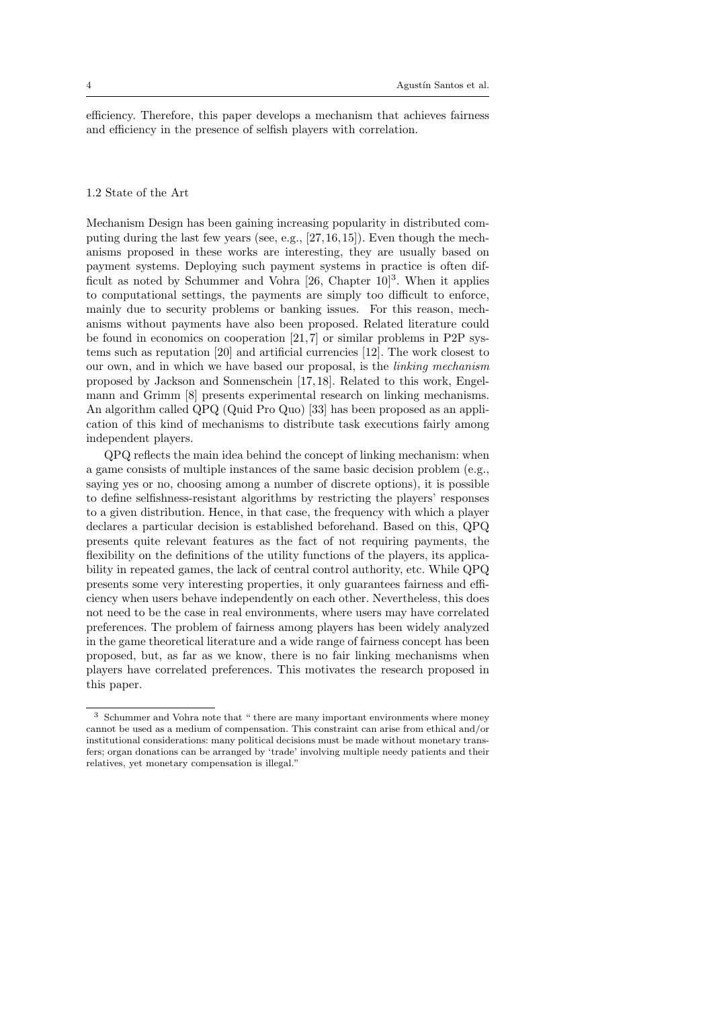efficiency. Therefore, this paper develops a mechanism that achieves fairness and efficiency in the presence of selfish players with correlation.

# 1.2 State of the Art

Mechanism Design has been gaining increasing popularity in distributed computing during the last few years (see, e.g., [27, 16, 15]). Even though the mechanisms proposed in these works are interesting, they are usually based on payment systems. Deploying such payment systems in practice is often difficult as noted by Schummer and Vohra  $[26,$  Chapter  $10]^3$ . When it applies to computational settings, the payments are simply too difficult to enforce, mainly due to security problems or banking issues. For this reason, mechanisms without payments have also been proposed. Related literature could be found in economics on cooperation [21, 7] or similar problems in P2P systems such as reputation [20] and artificial currencies [12]. The work closest to our own, and in which we have based our proposal, is the linking mechanism proposed by Jackson and Sonnenschein [17, 18]. Related to this work, Engelmann and Grimm [8] presents experimental research on linking mechanisms. An algorithm called QPQ (Quid Pro Quo) [33] has been proposed as an application of this kind of mechanisms to distribute task executions fairly among independent players.

QPQ reflects the main idea behind the concept of linking mechanism: when a game consists of multiple instances of the same basic decision problem (e.g., saying yes or no, choosing among a number of discrete options), it is possible to define selfishness-resistant algorithms by restricting the players' responses to a given distribution. Hence, in that case, the frequency with which a player declares a particular decision is established beforehand. Based on this, QPQ presents quite relevant features as the fact of not requiring payments, the flexibility on the definitions of the utility functions of the players, its applicability in repeated games, the lack of central control authority, etc. While QPQ presents some very interesting properties, it only guarantees fairness and efficiency when users behave independently on each other. Nevertheless, this does not need to be the case in real environments, where users may have correlated preferences. The problem of fairness among players has been widely analyzed in the game theoretical literature and a wide range of fairness concept has been proposed, but, as far as we know, there is no fair linking mechanisms when players have correlated preferences. This motivates the research proposed in this paper.

<sup>&</sup>lt;sup>3</sup> Schummer and Vohra note that " there are many important environments where money cannot be used as a medium of compensation. This constraint can arise from ethical and/or institutional considerations: many political decisions must be made without monetary transfers; organ donations can be arranged by 'trade' involving multiple needy patients and their relatives, yet monetary compensation is illegal."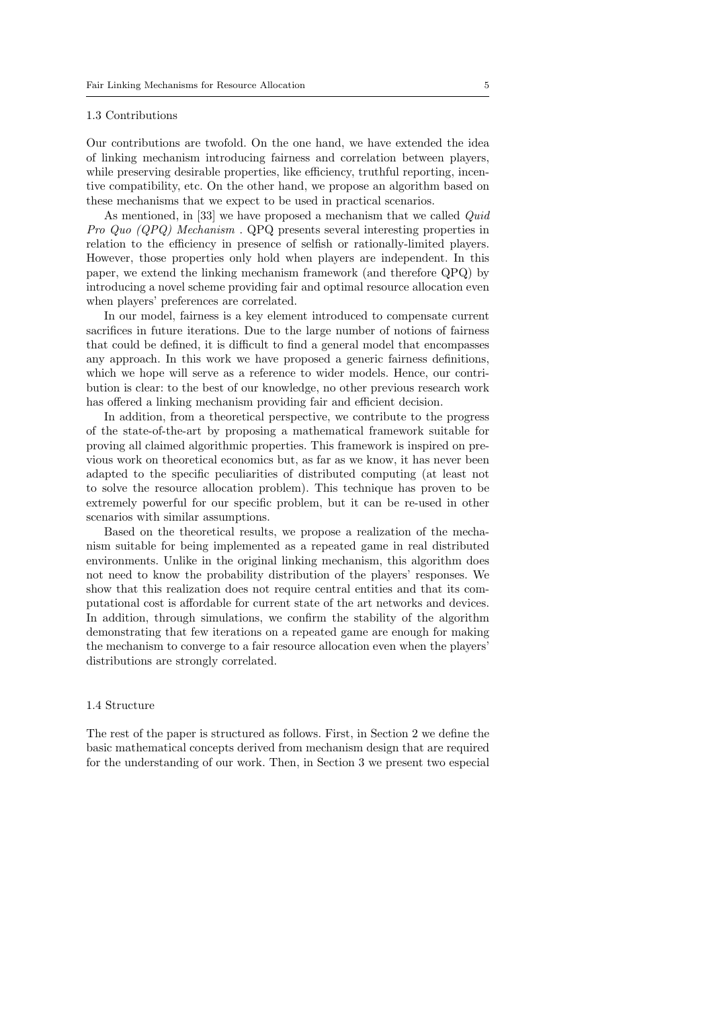## 1.3 Contributions

Our contributions are twofold. On the one hand, we have extended the idea of linking mechanism introducing fairness and correlation between players, while preserving desirable properties, like efficiency, truthful reporting, incentive compatibility, etc. On the other hand, we propose an algorithm based on these mechanisms that we expect to be used in practical scenarios.

As mentioned, in [33] we have proposed a mechanism that we called *Quid* Pro Quo (QPQ) Mechanism . QPQ presents several interesting properties in relation to the efficiency in presence of selfish or rationally-limited players. However, those properties only hold when players are independent. In this paper, we extend the linking mechanism framework (and therefore QPQ) by introducing a novel scheme providing fair and optimal resource allocation even when players' preferences are correlated.

In our model, fairness is a key element introduced to compensate current sacrifices in future iterations. Due to the large number of notions of fairness that could be defined, it is difficult to find a general model that encompasses any approach. In this work we have proposed a generic fairness definitions, which we hope will serve as a reference to wider models. Hence, our contribution is clear: to the best of our knowledge, no other previous research work has offered a linking mechanism providing fair and efficient decision.

In addition, from a theoretical perspective, we contribute to the progress of the state-of-the-art by proposing a mathematical framework suitable for proving all claimed algorithmic properties. This framework is inspired on previous work on theoretical economics but, as far as we know, it has never been adapted to the specific peculiarities of distributed computing (at least not to solve the resource allocation problem). This technique has proven to be extremely powerful for our specific problem, but it can be re-used in other scenarios with similar assumptions.

Based on the theoretical results, we propose a realization of the mechanism suitable for being implemented as a repeated game in real distributed environments. Unlike in the original linking mechanism, this algorithm does not need to know the probability distribution of the players' responses. We show that this realization does not require central entities and that its computational cost is affordable for current state of the art networks and devices. In addition, through simulations, we confirm the stability of the algorithm demonstrating that few iterations on a repeated game are enough for making the mechanism to converge to a fair resource allocation even when the players' distributions are strongly correlated.

#### 1.4 Structure

The rest of the paper is structured as follows. First, in Section 2 we define the basic mathematical concepts derived from mechanism design that are required for the understanding of our work. Then, in Section 3 we present two especial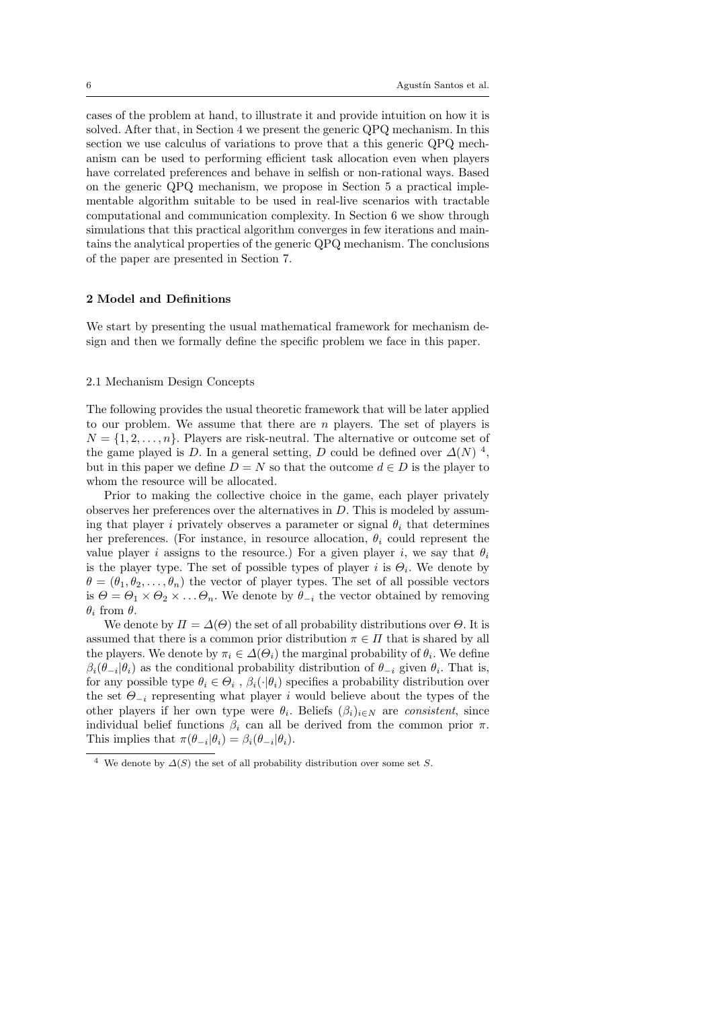cases of the problem at hand, to illustrate it and provide intuition on how it is solved. After that, in Section 4 we present the generic QPQ mechanism. In this section we use calculus of variations to prove that a this generic QPQ mechanism can be used to performing efficient task allocation even when players have correlated preferences and behave in selfish or non-rational ways. Based on the generic QPQ mechanism, we propose in Section 5 a practical implementable algorithm suitable to be used in real-live scenarios with tractable computational and communication complexity. In Section 6 we show through simulations that this practical algorithm converges in few iterations and maintains the analytical properties of the generic QPQ mechanism. The conclusions of the paper are presented in Section 7.

## 2 Model and Definitions

We start by presenting the usual mathematical framework for mechanism design and then we formally define the specific problem we face in this paper.

#### 2.1 Mechanism Design Concepts

The following provides the usual theoretic framework that will be later applied to our problem. We assume that there are  $n$  players. The set of players is  $N = \{1, 2, \ldots, n\}$ . Players are risk-neutral. The alternative or outcome set of the game played is D. In a general setting, D could be defined over  $\Delta(N)^4$ , but in this paper we define  $D = N$  so that the outcome  $d \in D$  is the player to whom the resource will be allocated.

Prior to making the collective choice in the game, each player privately observes her preferences over the alternatives in  $D$ . This is modeled by assuming that player i privately observes a parameter or signal  $\theta_i$  that determines her preferences. (For instance, in resource allocation,  $\theta_i$  could represent the value player i assigns to the resource.) For a given player i, we say that  $\theta_i$ is the player type. The set of possible types of player i is  $\Theta_i$ . We denote by  $\theta = (\theta_1, \theta_2, \dots, \theta_n)$  the vector of player types. The set of all possible vectors is  $\Theta = \Theta_1 \times \Theta_2 \times \ldots \Theta_n$ . We denote by  $\theta_{-i}$  the vector obtained by removing  $\theta_i$  from  $\theta$ .

We denote by  $\Pi = \Delta(\Theta)$  the set of all probability distributions over  $\Theta$ . It is assumed that there is a common prior distribution  $\pi \in \Pi$  that is shared by all the players. We denote by  $\pi_i \in \Delta(\Theta_i)$  the marginal probability of  $\theta_i$ . We define  $\beta_i(\theta_{-i}|\theta_i)$  as the conditional probability distribution of  $\theta_{-i}$  given  $\theta_i$ . That is, for any possible type  $\theta_i \in \Theta_i$ ,  $\beta_i(\cdot|\theta_i)$  specifies a probability distribution over the set  $\Theta_{-i}$  representing what player i would believe about the types of the other players if her own type were  $\theta_i$ . Beliefs  $(\beta_i)_{i\in\mathbb{N}}$  are consistent, since individual belief functions  $\beta_i$  can all be derived from the common prior  $\pi$ . This implies that  $\pi(\theta_{-i}|\theta_i) = \beta_i(\theta_{-i}|\theta_i)$ .

<sup>&</sup>lt;sup>4</sup> We denote by  $\Delta(S)$  the set of all probability distribution over some set S.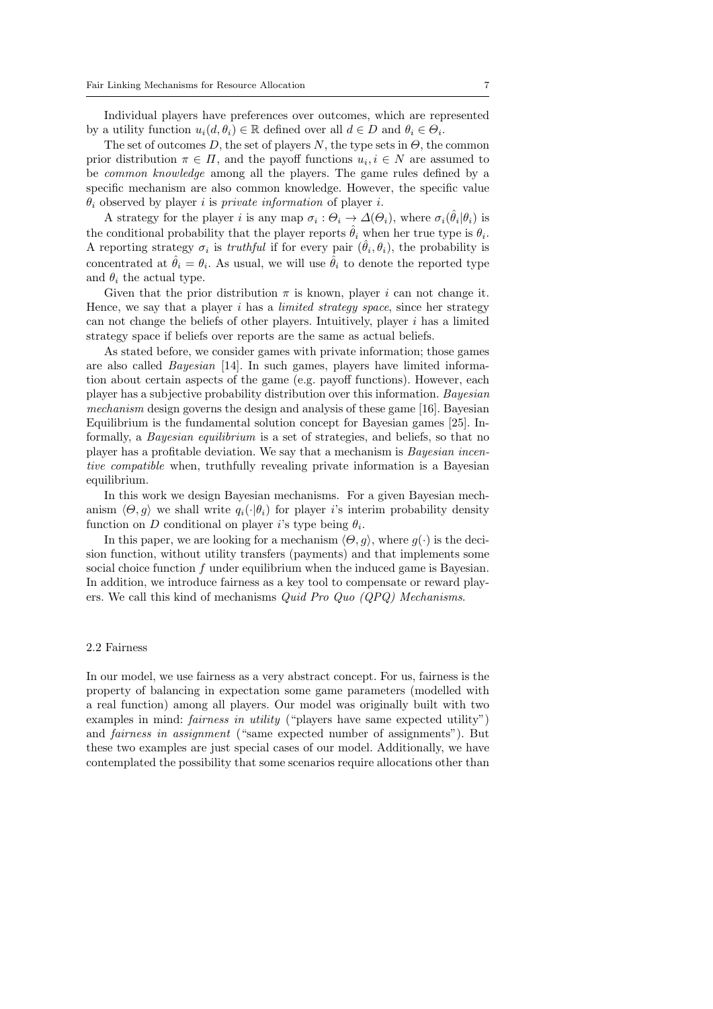Individual players have preferences over outcomes, which are represented by a utility function  $u_i(d, \theta_i) \in \mathbb{R}$  defined over all  $d \in D$  and  $\theta_i \in \Theta_i$ .

The set of outcomes D, the set of players  $N$ , the type sets in  $\Theta$ , the common prior distribution  $\pi \in \Pi$ , and the payoff functions  $u_i, i \in N$  are assumed to be common knowledge among all the players. The game rules defined by a specific mechanism are also common knowledge. However, the specific value  $\theta_i$  observed by player *i* is *private information* of player *i*.

A strategy for the player *i* is any map  $\sigma_i$ :  $\Theta_i \to \Delta(\Theta_i)$ , where  $\sigma_i(\hat{\theta}_i|\theta_i)$  is the conditional probability that the player reports  $\hat{\theta}_i$  when her true type is  $\theta_i$ . A reporting strategy  $\sigma_i$  is *truthful* if for every pair  $(\hat{\theta}_i, \theta_i)$ , the probability is concentrated at  $\hat{\theta}_i = \theta_i$ . As usual, we will use  $\hat{\theta}_i$  to denote the reported type and  $\theta_i$  the actual type.

Given that the prior distribution  $\pi$  is known, player i can not change it. Hence, we say that a player  $i$  has a *limited strategy space*, since her strategy can not change the beliefs of other players. Intuitively, player  $i$  has a limited strategy space if beliefs over reports are the same as actual beliefs.

As stated before, we consider games with private information; those games are also called Bayesian [14]. In such games, players have limited information about certain aspects of the game (e.g. payoff functions). However, each player has a subjective probability distribution over this information. Bayesian mechanism design governs the design and analysis of these game [16]. Bayesian Equilibrium is the fundamental solution concept for Bayesian games [25]. Informally, a Bayesian equilibrium is a set of strategies, and beliefs, so that no player has a profitable deviation. We say that a mechanism is Bayesian incentive compatible when, truthfully revealing private information is a Bayesian equilibrium.

In this work we design Bayesian mechanisms. For a given Bayesian mechanism  $\langle \Theta, g \rangle$  we shall write  $q_i(\cdot|\theta_i)$  for player i's interim probability density function on D conditional on player i's type being  $\theta_i$ .

In this paper, we are looking for a mechanism  $\langle \Theta, g \rangle$ , where  $g(\cdot)$  is the decision function, without utility transfers (payments) and that implements some social choice function  $f$  under equilibrium when the induced game is Bayesian. In addition, we introduce fairness as a key tool to compensate or reward players. We call this kind of mechanisms Quid Pro Quo (QPQ) Mechanisms.

## 2.2 Fairness

In our model, we use fairness as a very abstract concept. For us, fairness is the property of balancing in expectation some game parameters (modelled with a real function) among all players. Our model was originally built with two examples in mind: *fairness in utility* ("players have same expected utility") and fairness in assignment ("same expected number of assignments"). But these two examples are just special cases of our model. Additionally, we have contemplated the possibility that some scenarios require allocations other than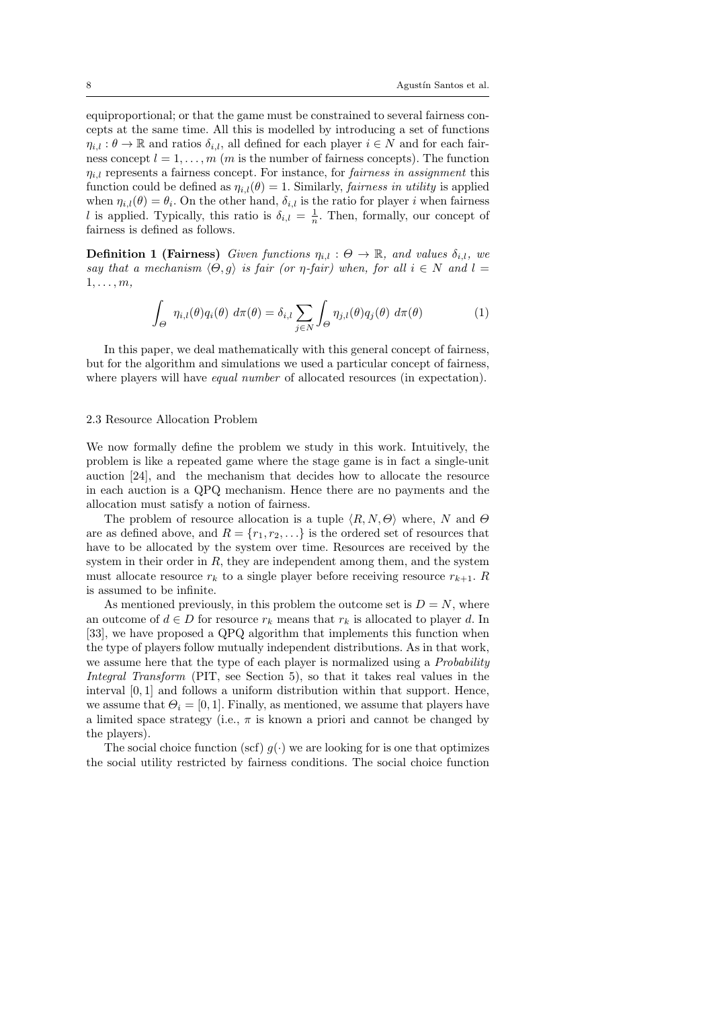equiproportional; or that the game must be constrained to several fairness concepts at the same time. All this is modelled by introducing a set of functions  $\eta_{i,l} : \theta \to \mathbb{R}$  and ratios  $\delta_{i,l}$ , all defined for each player  $i \in N$  and for each fairness concept  $l = 1, \ldots, m$  (*m* is the number of fairness concepts). The function  $\eta_{i,l}$  represents a fairness concept. For instance, for *fairness in assignment* this function could be defined as  $\eta_{i,l}(\theta) = 1$ . Similarly, *fairness in utility* is applied when  $\eta_{i,l}(\theta) = \theta_i$ . On the other hand,  $\delta_{i,l}$  is the ratio for player i when fairness l is applied. Typically, this ratio is  $\delta_{i,l} = \frac{1}{n}$ . Then, formally, our concept of fairness is defined as follows.

**Definition 1 (Fairness)** Given functions  $\eta_{i,l} : \Theta \to \mathbb{R}$ , and values  $\delta_{i,l}$ , we say that a mechanism  $\langle \Theta, g \rangle$  is fair (or *η*-fair) when, for all  $i \in N$  and  $l =$  $1, \ldots, m$ ,

$$
\int_{\Theta} \eta_{i,l}(\theta) q_i(\theta) d\pi(\theta) = \delta_{i,l} \sum_{j \in N} \int_{\Theta} \eta_{j,l}(\theta) q_j(\theta) d\pi(\theta) \tag{1}
$$

In this paper, we deal mathematically with this general concept of fairness, but for the algorithm and simulations we used a particular concept of fairness, where players will have *equal number* of allocated resources (in expectation).

#### 2.3 Resource Allocation Problem

We now formally define the problem we study in this work. Intuitively, the problem is like a repeated game where the stage game is in fact a single-unit auction [24], and the mechanism that decides how to allocate the resource in each auction is a QPQ mechanism. Hence there are no payments and the allocation must satisfy a notion of fairness.

The problem of resource allocation is a tuple  $\langle R, N, \Theta \rangle$  where, N and  $\Theta$ are as defined above, and  $R = \{r_1, r_2, \ldots\}$  is the ordered set of resources that have to be allocated by the system over time. Resources are received by the system in their order in  $R$ , they are independent among them, and the system must allocate resource  $r_k$  to a single player before receiving resource  $r_{k+1}$ . R is assumed to be infinite.

As mentioned previously, in this problem the outcome set is  $D = N$ , where an outcome of  $d \in D$  for resource  $r_k$  means that  $r_k$  is allocated to player d. In [33], we have proposed a QPQ algorithm that implements this function when the type of players follow mutually independent distributions. As in that work, we assume here that the type of each player is normalized using a *Probability* Integral Transform (PIT, see Section 5), so that it takes real values in the interval [0, 1] and follows a uniform distribution within that support. Hence, we assume that  $\Theta_i = [0, 1]$ . Finally, as mentioned, we assume that players have a limited space strategy (i.e.,  $\pi$  is known a priori and cannot be changed by the players).

The social choice function (scf)  $g(\cdot)$  we are looking for is one that optimizes the social utility restricted by fairness conditions. The social choice function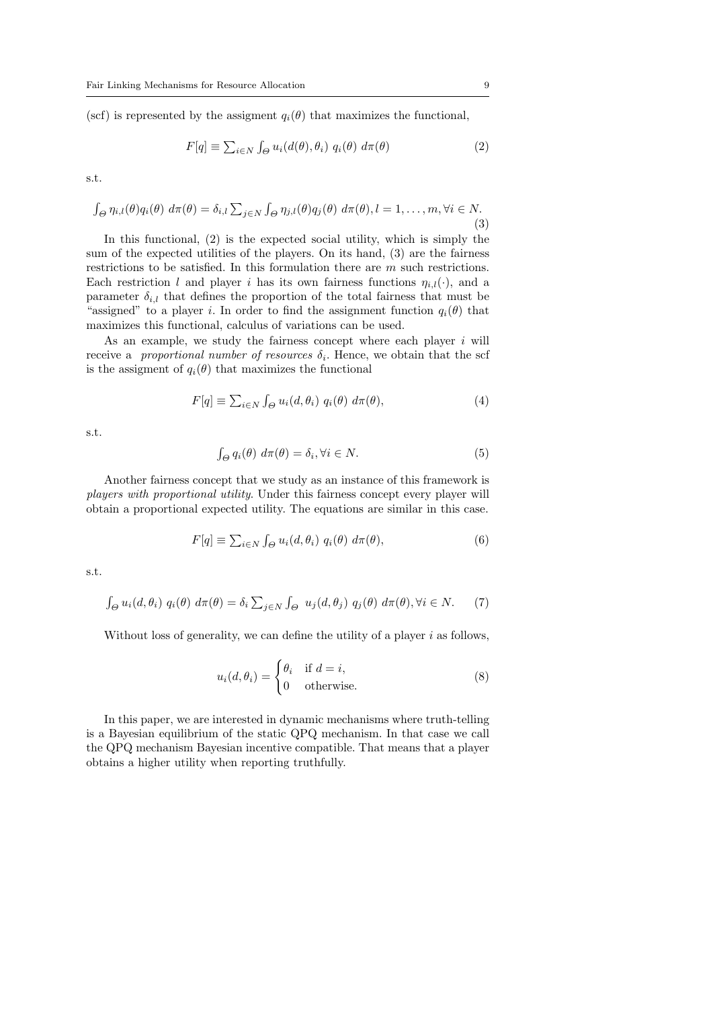(scf) is represented by the assigment  $q_i(\theta)$  that maximizes the functional,

$$
F[q] \equiv \sum_{i \in N} \int_{\Theta} u_i(d(\theta), \theta_i) q_i(\theta) d\pi(\theta)
$$
 (2)

s.t.

$$
\int_{\Theta} \eta_{i,l}(\theta) q_i(\theta) d\pi(\theta) = \delta_{i,l} \sum_{j \in N} \int_{\Theta} \eta_{j,l}(\theta) q_j(\theta) d\pi(\theta), l = 1, \dots, m, \forall i \in N.
$$
\n(3)

In this functional, (2) is the expected social utility, which is simply the sum of the expected utilities of the players. On its hand, (3) are the fairness restrictions to be satisfied. In this formulation there are  $m$  such restrictions. Each restriction l and player i has its own fairness functions  $\eta_{i,l}(\cdot)$ , and a parameter  $\delta_{i,l}$  that defines the proportion of the total fairness that must be "assigned" to a player i. In order to find the assignment function  $q_i(\theta)$  that maximizes this functional, calculus of variations can be used.

As an example, we study the fairness concept where each player  $i$  will receive a proportional number of resources  $\delta_i$ . Hence, we obtain that the scf is the assigment of  $q_i(\theta)$  that maximizes the functional

$$
F[q] \equiv \sum_{i \in N} \int_{\Theta} u_i(d, \theta_i) \ q_i(\theta) \ d\pi(\theta), \tag{4}
$$

s.t.

$$
\int_{\Theta} q_i(\theta) \, d\pi(\theta) = \delta_i, \forall i \in N. \tag{5}
$$

Another fairness concept that we study as an instance of this framework is players with proportional utility. Under this fairness concept every player will obtain a proportional expected utility. The equations are similar in this case.

$$
F[q] \equiv \sum_{i \in N} \int_{\Theta} u_i(d, \theta_i) \ q_i(\theta) \ d\pi(\theta), \tag{6}
$$

s.t.

$$
\int_{\Theta} u_i(d, \theta_i) \ q_i(\theta) \ d\pi(\theta) = \delta_i \sum_{j \in N} \int_{\Theta} u_j(d, \theta_j) \ q_j(\theta) \ d\pi(\theta), \forall i \in N. \tag{7}
$$

Without loss of generality, we can define the utility of a player  $i$  as follows,

$$
u_i(d, \theta_i) = \begin{cases} \theta_i & \text{if } d = i, \\ 0 & \text{otherwise.} \end{cases}
$$
 (8)

In this paper, we are interested in dynamic mechanisms where truth-telling is a Bayesian equilibrium of the static QPQ mechanism. In that case we call the QPQ mechanism Bayesian incentive compatible. That means that a player obtains a higher utility when reporting truthfully.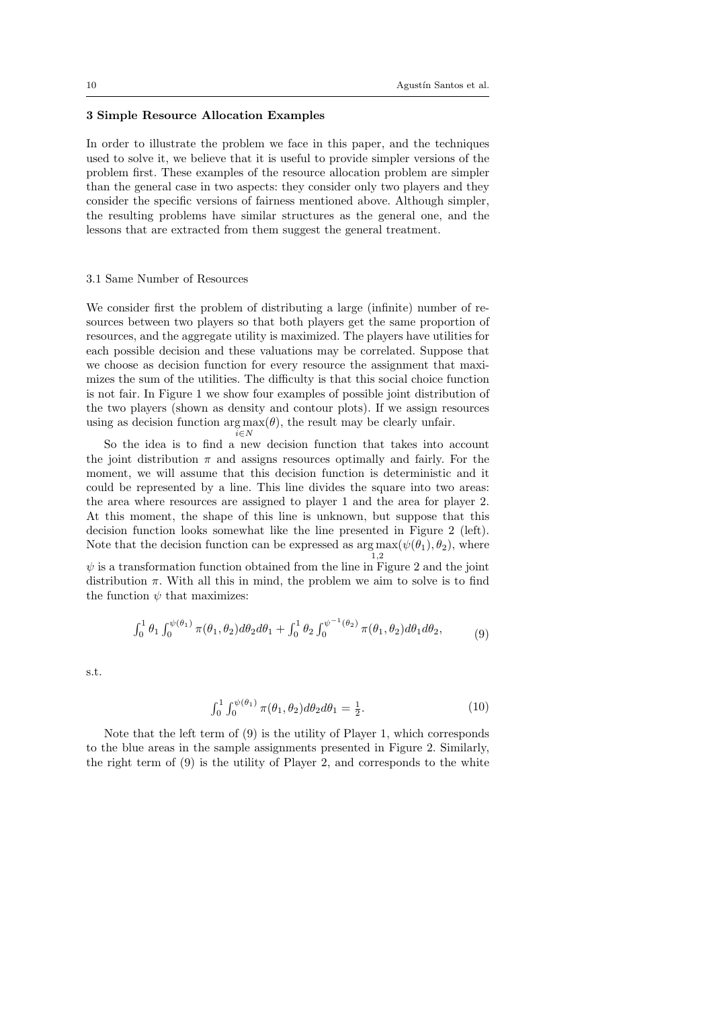## 3 Simple Resource Allocation Examples

In order to illustrate the problem we face in this paper, and the techniques used to solve it, we believe that it is useful to provide simpler versions of the problem first. These examples of the resource allocation problem are simpler than the general case in two aspects: they consider only two players and they consider the specific versions of fairness mentioned above. Although simpler, the resulting problems have similar structures as the general one, and the lessons that are extracted from them suggest the general treatment.

#### 3.1 Same Number of Resources

We consider first the problem of distributing a large (infinite) number of resources between two players so that both players get the same proportion of resources, and the aggregate utility is maximized. The players have utilities for each possible decision and these valuations may be correlated. Suppose that we choose as decision function for every resource the assignment that maximizes the sum of the utilities. The difficulty is that this social choice function is not fair. In Figure 1 we show four examples of possible joint distribution of the two players (shown as density and contour plots). If we assign resources using as decision function  $\arg \max(\theta)$ , the result may be clearly unfair.  $i \in N$ 

So the idea is to find a new decision function that takes into account the joint distribution  $\pi$  and assigns resources optimally and fairly. For the moment, we will assume that this decision function is deterministic and it could be represented by a line. This line divides the square into two areas: the area where resources are assigned to player 1 and the area for player 2. At this moment, the shape of this line is unknown, but suppose that this decision function looks somewhat like the line presented in Figure 2 (left). Note that the decision function can be expressed as  $\arg \max(\psi(\theta_1), \theta_2)$ , where 1,2  $\psi$  is a transformation function obtained from the line in Figure 2 and the joint distribution  $\pi$ . With all this in mind, the problem we aim to solve is to find

the function  $\psi$  that maximizes:

$$
\int_0^1 \theta_1 \int_0^{\psi(\theta_1)} \pi(\theta_1, \theta_2) d\theta_2 d\theta_1 + \int_0^1 \theta_2 \int_0^{\psi^{-1}(\theta_2)} \pi(\theta_1, \theta_2) d\theta_1 d\theta_2, \tag{9}
$$

s.t.

$$
\int_0^1 \int_0^{\psi(\theta_1)} \pi(\theta_1, \theta_2) d\theta_2 d\theta_1 = \frac{1}{2}.
$$
 (10)

Note that the left term of (9) is the utility of Player 1, which corresponds to the blue areas in the sample assignments presented in Figure 2. Similarly, the right term of (9) is the utility of Player 2, and corresponds to the white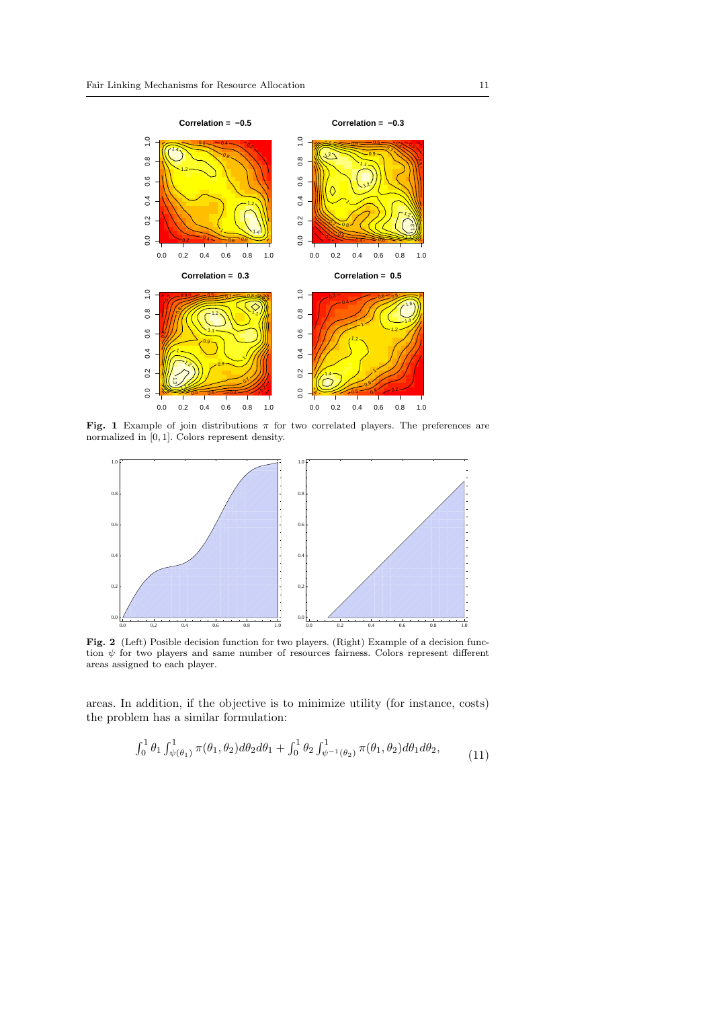

Fig. 1 Example of join distributions  $\pi$  for two correlated players. The preferences are normalized in [0, 1]. Colors represent density.



Fig. 2 (Left) Posible decision function for two players. (Right) Example of a decision function  $\psi$  for two players and same number of resources fairness. Colors represent different areas assigned to each player.

areas. In addition, if the objective is to minimize utility (for instance, costs) the problem has a similar formulation:

$$
\int_0^1 \theta_1 \int_{\psi(\theta_1)}^1 \pi(\theta_1, \theta_2) d\theta_2 d\theta_1 + \int_0^1 \theta_2 \int_{\psi^{-1}(\theta_2)}^1 \pi(\theta_1, \theta_2) d\theta_1 d\theta_2, \tag{11}
$$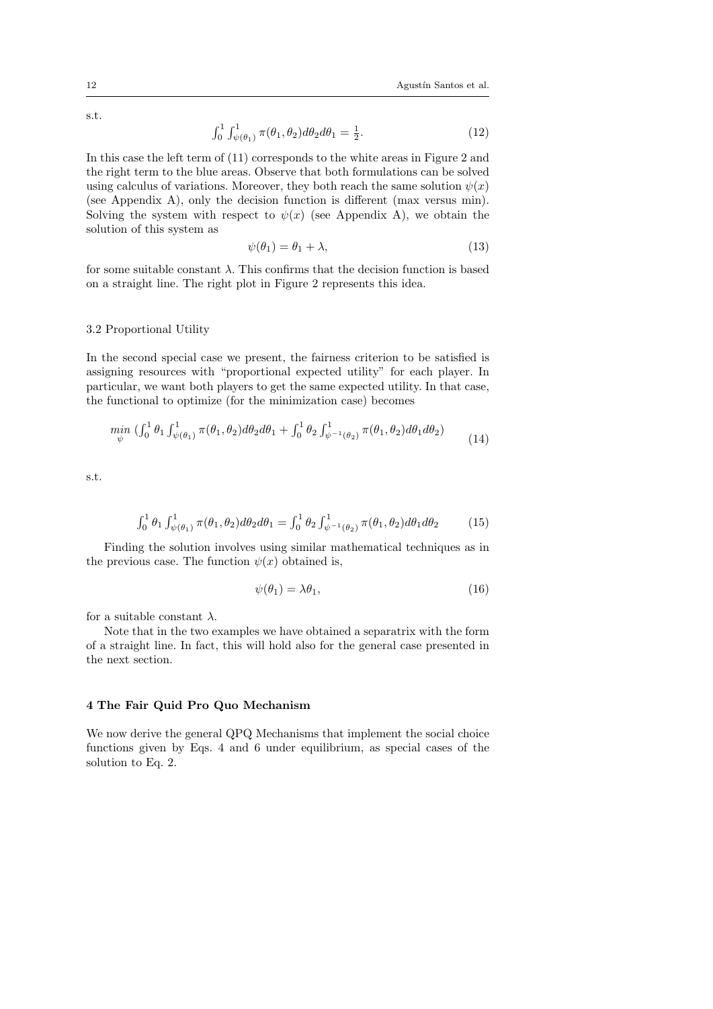s.t.

$$
\int_0^1 \int_{\psi(\theta_1)}^1 \pi(\theta_1, \theta_2) d\theta_2 d\theta_1 = \frac{1}{2}.
$$
 (12)

In this case the left term of (11) corresponds to the white areas in Figure 2 and the right term to the blue areas. Observe that both formulations can be solved using calculus of variations. Moreover, they both reach the same solution  $\psi(x)$ (see Appendix A), only the decision function is different (max versus min). Solving the system with respect to  $\psi(x)$  (see Appendix A), we obtain the solution of this system as

$$
\psi(\theta_1) = \theta_1 + \lambda,\tag{13}
$$

for some suitable constant  $\lambda$ . This confirms that the decision function is based on a straight line. The right plot in Figure 2 represents this idea.

#### 3.2 Proportional Utility

In the second special case we present, the fairness criterion to be satisfied is assigning resources with "proportional expected utility" for each player. In particular, we want both players to get the same expected utility. In that case, the functional to optimize (for the minimization case) becomes

$$
\min_{\psi} \left( \int_0^1 \theta_1 \int_{\psi(\theta_1)}^1 \pi(\theta_1, \theta_2) d\theta_2 d\theta_1 + \int_0^1 \theta_2 \int_{\psi^{-1}(\theta_2)}^1 \pi(\theta_1, \theta_2) d\theta_1 d\theta_2 \right) \tag{14}
$$

s.t.

$$
\int_0^1 \theta_1 \int_{\psi(\theta_1)}^1 \pi(\theta_1, \theta_2) d\theta_2 d\theta_1 = \int_0^1 \theta_2 \int_{\psi^{-1}(\theta_2)}^1 \pi(\theta_1, \theta_2) d\theta_1 d\theta_2 \tag{15}
$$

Finding the solution involves using similar mathematical techniques as in the previous case. The function  $\psi(x)$  obtained is,

$$
\psi(\theta_1) = \lambda \theta_1,\tag{16}
$$

for a suitable constant  $\lambda$ .

Note that in the two examples we have obtained a separatrix with the form of a straight line. In fact, this will hold also for the general case presented in the next section.

#### 4 The Fair Quid Pro Quo Mechanism

We now derive the general QPQ Mechanisms that implement the social choice functions given by Eqs. 4 and 6 under equilibrium, as special cases of the solution to Eq. 2.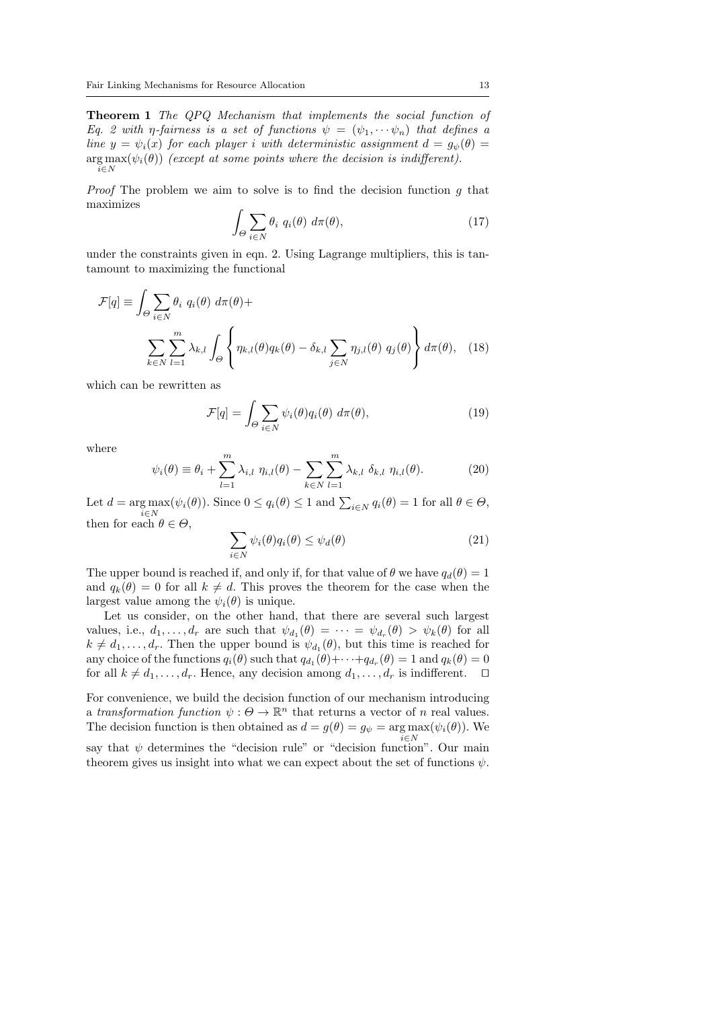Theorem 1 The QPQ Mechanism that implements the social function of Eq. 2 with  $\eta$ -fairness is a set of functions  $\psi = (\psi_1, \dots \psi_n)$  that defines a line  $y = \psi_i(x)$  for each player i with deterministic assignment  $d = g_{\psi}(\theta)$  $arg max(\psi_i(\theta))$  (except at some points where the decision is indifferent).  $i\in\!N$ 

*Proof* The problem we aim to solve is to find the decision function  $g$  that maximizes

$$
\int_{\Theta} \sum_{i \in N} \theta_i \, q_i(\theta) \, d\pi(\theta), \tag{17}
$$

under the constraints given in eqn. 2. Using Lagrange multipliers, this is tantamount to maximizing the functional

$$
\mathcal{F}[q] \equiv \int_{\Theta} \sum_{i \in N} \theta_i q_i(\theta) d\pi(\theta) +
$$

$$
\sum_{k \in N} \sum_{l=1}^m \lambda_{k,l} \int_{\Theta} \left\{ \eta_{k,l}(\theta) q_k(\theta) - \delta_{k,l} \sum_{j \in N} \eta_{j,l}(\theta) q_j(\theta) \right\} d\pi(\theta), \quad (18)
$$

which can be rewritten as

$$
\mathcal{F}[q] = \int_{\Theta} \sum_{i \in N} \psi_i(\theta) q_i(\theta) \, d\pi(\theta), \tag{19}
$$

where

$$
\psi_i(\theta) \equiv \theta_i + \sum_{l=1}^m \lambda_{i,l} \ \eta_{i,l}(\theta) - \sum_{k \in N} \sum_{l=1}^m \lambda_{k,l} \ \delta_{k,l} \ \eta_{i,l}(\theta). \tag{20}
$$

Let  $d = \arg \max_{\psi_i} (\psi_i(\theta))$ . Since  $0 \le q_i(\theta) \le 1$  and  $\sum_{i \in N} q_i(\theta) = 1$  for all  $\theta \in \Theta$ , then for each  $\theta \in \Theta$ ,

$$
\sum_{i \in N} \psi_i(\theta) q_i(\theta) \le \psi_d(\theta) \tag{21}
$$

The upper bound is reached if, and only if, for that value of  $\theta$  we have  $q_d(\theta) = 1$ and  $q_k(\theta) = 0$  for all  $k \neq d$ . This proves the theorem for the case when the largest value among the  $\psi_i(\theta)$  is unique.

Let us consider, on the other hand, that there are several such largest values, i.e.,  $d_1, \ldots, d_r$  are such that  $\psi_{d_1}(\theta) = \cdots = \psi_{d_r}(\theta) > \psi_k(\theta)$  for all  $k \neq d_1, \ldots, d_r$ . Then the upper bound is  $\psi_{d_1}(\theta)$ , but this time is reached for any choice of the functions  $q_i(\theta)$  such that  $q_{d_1}(\theta) + \cdots + q_{d_r}(\theta) = 1$  and  $q_k(\theta) = 0$ for all  $k \neq d_1, \ldots, d_r$ . Hence, any decision among  $d_1, \ldots, d_r$  is indifferent.  $\Box$ 

For convenience, we build the decision function of our mechanism introducing a transformation function  $\psi : \Theta \to \mathbb{R}^n$  that returns a vector of n real values. The decision function is then obtained as  $d = g(\theta) = g_{\psi} = \arg \max (\psi_i(\theta))$ . We  $i \in N$ say that  $\psi$  determines the "decision rule" or "decision function". Our main theorem gives us insight into what we can expect about the set of functions  $\psi$ .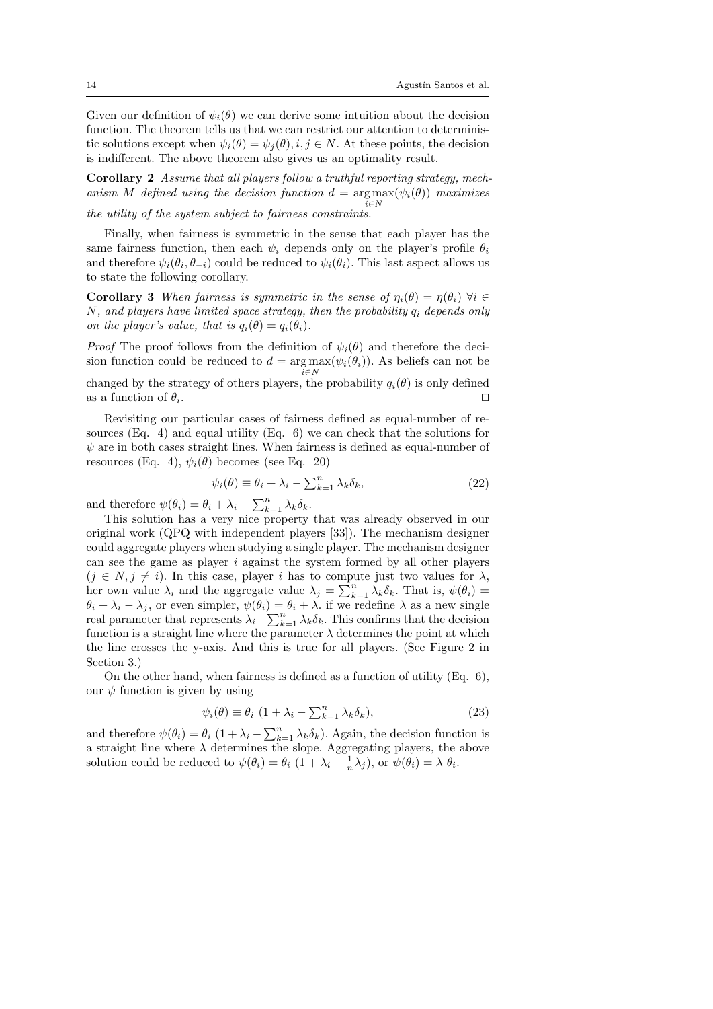Given our definition of  $\psi_i(\theta)$  we can derive some intuition about the decision function. The theorem tells us that we can restrict our attention to deterministic solutions except when  $\psi_i(\theta) = \psi_i(\theta), i, j \in N$ . At these points, the decision is indifferent. The above theorem also gives us an optimality result.

Corollary 2 Assume that all players follow a truthful reporting strategy, mechanism M defined using the decision function  $d = \arg \max(\psi_i(\theta))$  maximizes i∈N the utility of the system subject to fairness constraints.

Finally, when fairness is symmetric in the sense that each player has the same fairness function, then each  $\psi_i$  depends only on the player's profile  $\theta_i$ and therefore  $\psi_i(\theta_i, \theta_{-i})$  could be reduced to  $\psi_i(\theta_i)$ . This last aspect allows us to state the following corollary.

**Corollary 3** When fairness is symmetric in the sense of  $\eta_i(\theta) = \eta(\theta_i)$   $\forall i \in$ N, and players have limited space strategy, then the probability  $q_i$  depends only on the player's value, that is  $q_i(\theta) = q_i(\theta_i)$ .

*Proof* The proof follows from the definition of  $\psi_i(\theta)$  and therefore the decision function could be reduced to  $d = \arg \max(\psi_i(\theta_i))$ . As beliefs can not be  $\breve{i} \in N$ 

changed by the strategy of others players, the probability  $q_i(\theta)$  is only defined as a function of  $\theta_i$ . . The contract of the contract of the contract of  $\Box$ 

Revisiting our particular cases of fairness defined as equal-number of resources (Eq. 4) and equal utility (Eq. 6) we can check that the solutions for  $\psi$  are in both cases straight lines. When fairness is defined as equal-number of resources (Eq. 4),  $\psi_i(\theta)$  becomes (see Eq. 20)

$$
\psi_i(\theta) \equiv \theta_i + \lambda_i - \sum_{k=1}^n \lambda_k \delta_k,\tag{22}
$$

and therefore  $\psi(\theta_i) = \theta_i + \lambda_i - \sum_{k=1}^n \lambda_k \delta_k$ .

This solution has a very nice property that was already observed in our original work (QPQ with independent players [33]). The mechanism designer could aggregate players when studying a single player. The mechanism designer can see the game as player  $i$  against the system formed by all other players  $(j \in N, j \neq i)$ . In this case, player i has to compute just two values for  $\lambda$ , her own value  $\lambda_i$  and the aggregate value  $\lambda_j = \sum_{k=1}^n \lambda_k \delta_k$ . That is,  $\psi(\theta_i) =$  $\theta_i + \lambda_i - \lambda_j$ , or even simpler,  $\psi(\theta_i) = \theta_i + \lambda$ . if we redefine  $\lambda$  as a new single real parameter that represents  $\lambda_i - \sum_{k=1}^n \lambda_k \delta_k$ . This confirms that the decision function is a straight line where the parameter  $\lambda$  determines the point at which the line crosses the y-axis. And this is true for all players. (See Figure 2 in Section 3.)

On the other hand, when fairness is defined as a function of utility  $(Eq, 6)$ , our  $\psi$  function is given by using

$$
\psi_i(\theta) \equiv \theta_i \ (1 + \lambda_i - \sum_{k=1}^n \lambda_k \delta_k), \tag{23}
$$

and therefore  $\psi(\theta_i) = \theta_i (1 + \lambda_i - \sum_{k=1}^n \lambda_k \delta_k)$ . Again, the decision function is a straight line where  $\lambda$  determines the slope. Aggregating players, the above solution could be reduced to  $\psi(\theta_i) = \theta_i (1 + \lambda_i - \frac{1}{n}\lambda_j)$ , or  $\psi(\theta_i) = \lambda \theta_i$ .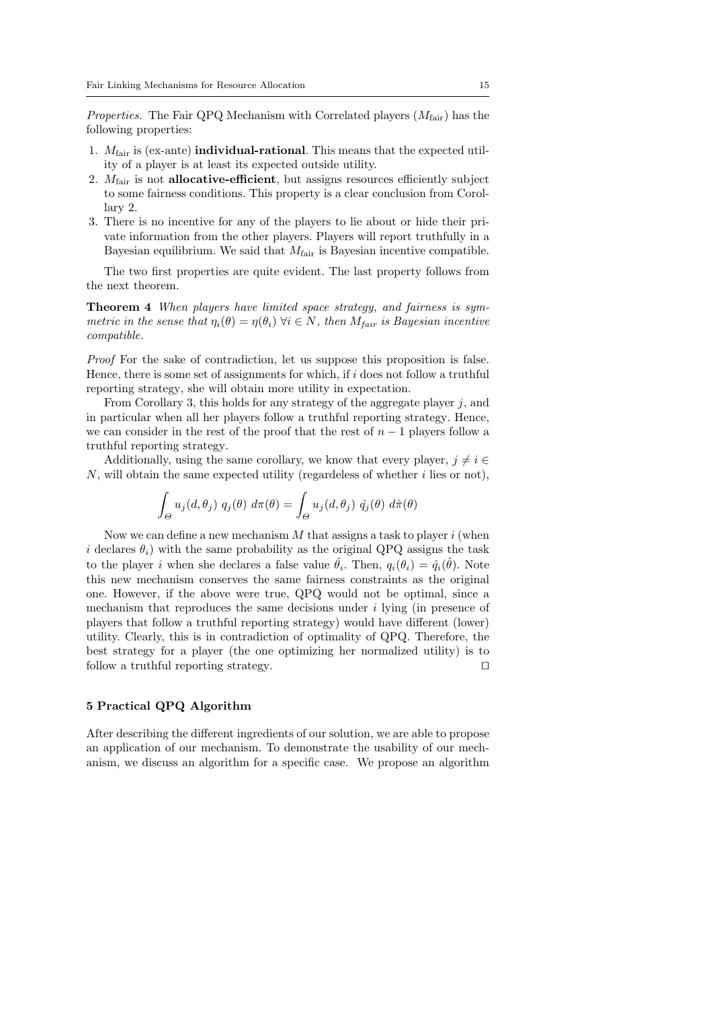Properties. The Fair QPQ Mechanism with Correlated players  $(M<sub>fair</sub>)$  has the following properties:

- 1.  $M_{\text{fair}}$  is (ex-ante) individual-rational. This means that the expected utility of a player is at least its expected outside utility.
- 2.  $M<sub>fair</sub>$  is not **allocative-efficient**, but assigns resources efficiently subject to some fairness conditions. This property is a clear conclusion from Corollary 2.
- 3. There is no incentive for any of the players to lie about or hide their private information from the other players. Players will report truthfully in a Bayesian equilibrium. We said that  $M<sub>fair</sub>$  is Bayesian incentive compatible.

The two first properties are quite evident. The last property follows from the next theorem.

Theorem 4 When players have limited space strategy, and fairness is symmetric in the sense that  $\eta_i(\theta) = \eta(\theta_i)$   $\forall i \in N$ , then  $M_{fair}$  is Bayesian incentive compatible.

Proof For the sake of contradiction, let us suppose this proposition is false. Hence, there is some set of assignments for which, if  $i$  does not follow a truthful reporting strategy, she will obtain more utility in expectation.

From Corollary 3, this holds for any strategy of the aggregate player  $j$ , and in particular when all her players follow a truthful reporting strategy. Hence, we can consider in the rest of the proof that the rest of  $n-1$  players follow a truthful reporting strategy.

Additionally, using the same corollary, we know that every player,  $j \neq i \in$  $N$ , will obtain the same expected utility (regardeless of whether i lies or not),

$$
\int_{\Theta} u_j(d, \theta_j) q_j(\theta) d\pi(\theta) = \int_{\Theta} u_j(d, \theta_j) q_j(\theta) d\hat{\pi}(\theta)
$$

Now we can define a new mechanism  $M$  that assigns a task to player  $i$  (when i declares  $\theta_i$ ) with the same probability as the original QPQ assigns the task to the player *i* when she declares a false value  $\hat{\theta}_i$ . Then,  $q_i(\theta_i) = \hat{q}_i(\hat{\theta})$ . Note this new mechanism conserves the same fairness constraints as the original one. However, if the above were true, QPQ would not be optimal, since a mechanism that reproduces the same decisions under  $i$  lying (in presence of players that follow a truthful reporting strategy) would have different (lower) utility. Clearly, this is in contradiction of optimality of QPQ. Therefore, the best strategy for a player (the one optimizing her normalized utility) is to follow a truthful reporting strategy.  $\Box$ 

## 5 Practical QPQ Algorithm

After describing the different ingredients of our solution, we are able to propose an application of our mechanism. To demonstrate the usability of our mechanism, we discuss an algorithm for a specific case. We propose an algorithm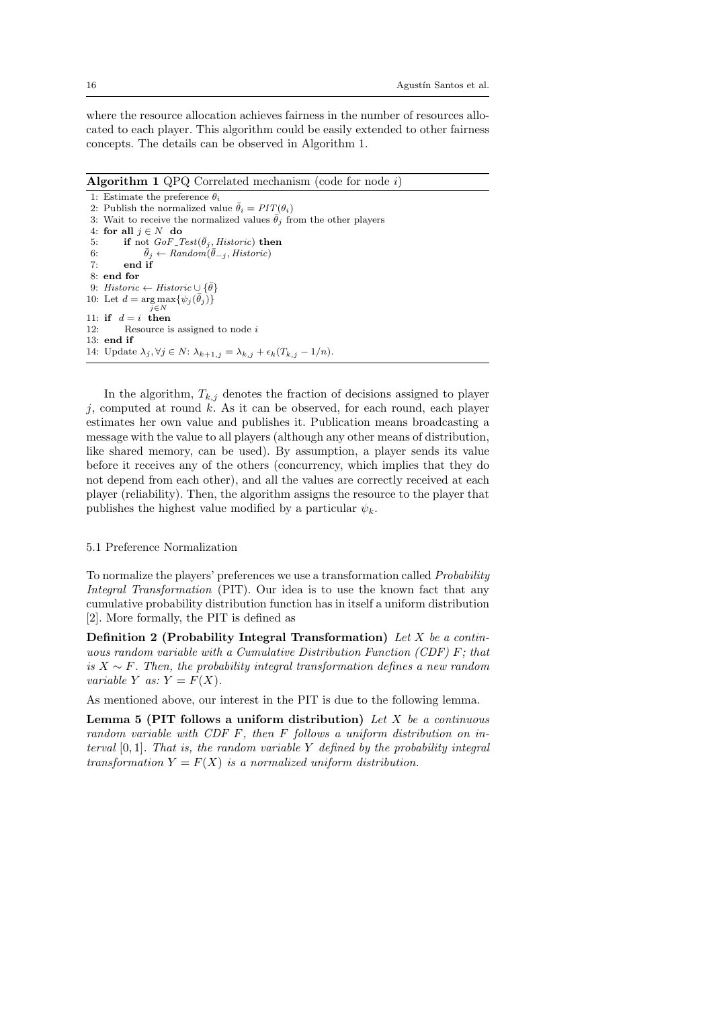where the resource allocation achieves fairness in the number of resources allocated to each player. This algorithm could be easily extended to other fairness concepts. The details can be observed in Algorithm 1.

**Algorithm 1** QPQ Correlated mechanism (code for node  $i$ )

1: Estimate the preference  $\theta_i$ 2: Publish the normalized value  $\bar{\theta}_i = PIT(\theta_i)$ 3: Wait to receive the normalized values  $\bar{\theta}_j$  from the other players 4: for all  $j \in N$  do<br>5: if not  $GoF$  7 5: if not  $GoF\_Test(\bar{\theta}_j, Historic)$  then 6:  $\overline{\theta}_j \leftarrow Random(\overline{\theta}_{-j}, Historic)$ 7: end if 8: end for 9: Historic ← Historic  $\cup \{\bar{\theta}\}\$ 10: Let  $d = \arg \max \{ \psi_j(\bar{\theta}_j) \}$  $i∈N$ 11: if  $d = i$  then 12: Resource is assigned to node i 13: end if 14: Update  $\lambda_j, \forall j \in N: \lambda_{k+1,j} = \lambda_{k,j} + \epsilon_k (T_{k,j} - 1/n).$ 

In the algorithm,  $T_{k,j}$  denotes the fraction of decisions assigned to player  $j$ , computed at round  $k$ . As it can be observed, for each round, each player estimates her own value and publishes it. Publication means broadcasting a message with the value to all players (although any other means of distribution, like shared memory, can be used). By assumption, a player sends its value before it receives any of the others (concurrency, which implies that they do not depend from each other), and all the values are correctly received at each player (reliability). Then, the algorithm assigns the resource to the player that publishes the highest value modified by a particular  $\psi_k$ .

## 5.1 Preference Normalization

To normalize the players' preferences we use a transformation called Probability Integral Transformation (PIT). Our idea is to use the known fact that any cumulative probability distribution function has in itself a uniform distribution [2]. More formally, the PIT is defined as

Definition 2 (Probability Integral Transformation) Let  $X$  be a continuous random variable with a Cumulative Distribution Function  $(CDF)$  F; that is  $X \sim F$ . Then, the probability integral transformation defines a new random variable Y as:  $Y = F(X)$ .

As mentioned above, our interest in the PIT is due to the following lemma.

Lemma 5 (PIT follows a uniform distribution) Let X be a continuous random variable with CDF  $F$ , then  $F$  follows a uniform distribution on interval  $[0, 1]$ . That is, the random variable Y defined by the probability integral transformation  $Y = F(X)$  is a normalized uniform distribution.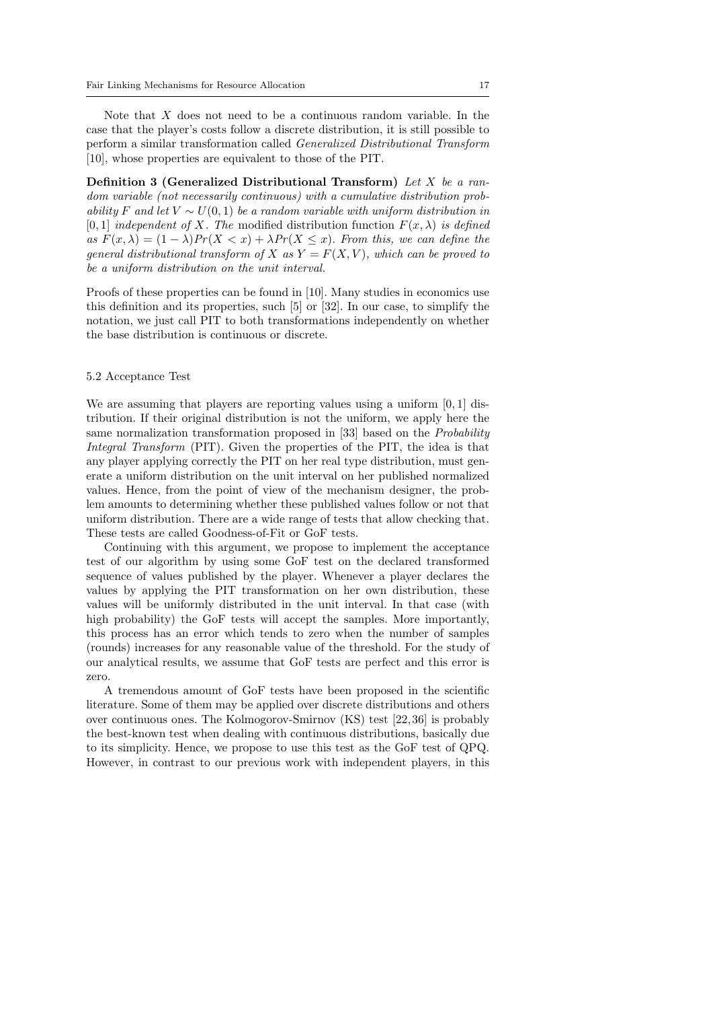Note that  $X$  does not need to be a continuous random variable. In the case that the player's costs follow a discrete distribution, it is still possible to perform a similar transformation called Generalized Distributional Transform [10], whose properties are equivalent to those of the PIT.

**Definition 3 (Generalized Distributional Transform)** Let X be a random variable (not necessarily continuous) with a cumulative distribution probability F and let  $V \sim U(0, 1)$  be a random variable with uniform distribution in [0, 1] independent of X. The modified distribution function  $F(x, \lambda)$  is defined as  $F(x, \lambda) = (1 - \lambda)Pr(X < x) + \lambda Pr(X \leq x)$ . From this, we can define the general distributional transform of X as  $Y = F(X, V)$ , which can be proved to be a uniform distribution on the unit interval.

Proofs of these properties can be found in [10]. Many studies in economics use this definition and its properties, such [5] or [32]. In our case, to simplify the notation, we just call PIT to both transformations independently on whether the base distribution is continuous or discrete.

#### 5.2 Acceptance Test

We are assuming that players are reporting values using a uniform  $[0, 1]$  distribution. If their original distribution is not the uniform, we apply here the same normalization transformation proposed in [33] based on the Probability Integral Transform (PIT). Given the properties of the PIT, the idea is that any player applying correctly the PIT on her real type distribution, must generate a uniform distribution on the unit interval on her published normalized values. Hence, from the point of view of the mechanism designer, the problem amounts to determining whether these published values follow or not that uniform distribution. There are a wide range of tests that allow checking that. These tests are called Goodness-of-Fit or GoF tests.

Continuing with this argument, we propose to implement the acceptance test of our algorithm by using some GoF test on the declared transformed sequence of values published by the player. Whenever a player declares the values by applying the PIT transformation on her own distribution, these values will be uniformly distributed in the unit interval. In that case (with high probability) the GoF tests will accept the samples. More importantly, this process has an error which tends to zero when the number of samples (rounds) increases for any reasonable value of the threshold. For the study of our analytical results, we assume that GoF tests are perfect and this error is zero.

A tremendous amount of GoF tests have been proposed in the scientific literature. Some of them may be applied over discrete distributions and others over continuous ones. The Kolmogorov-Smirnov (KS) test [22, 36] is probably the best-known test when dealing with continuous distributions, basically due to its simplicity. Hence, we propose to use this test as the GoF test of QPQ. However, in contrast to our previous work with independent players, in this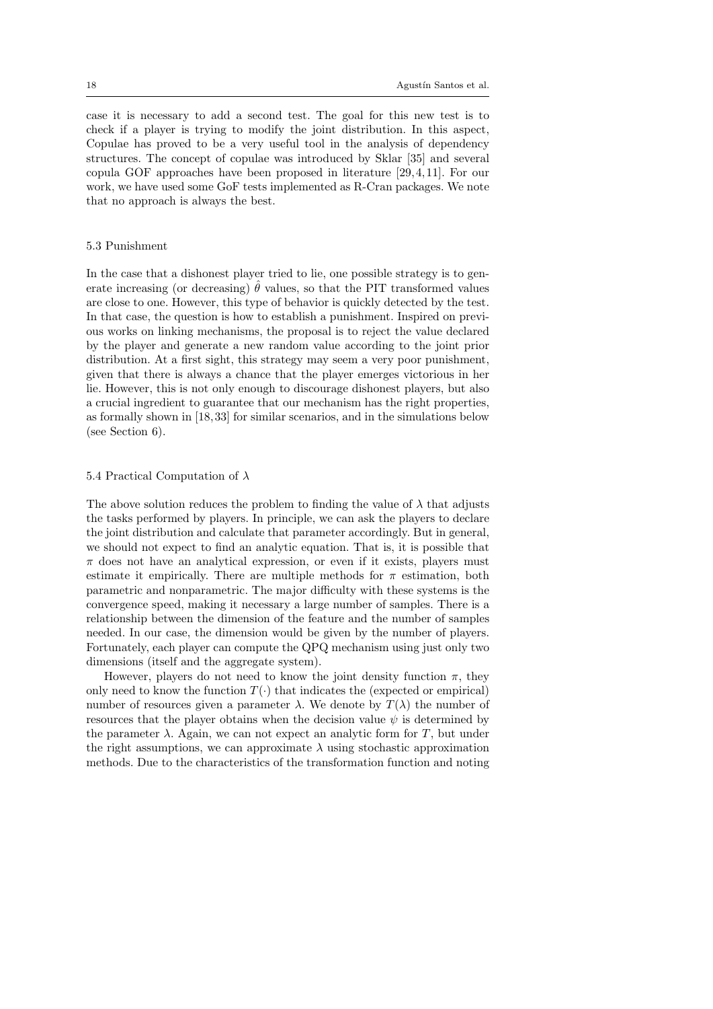case it is necessary to add a second test. The goal for this new test is to check if a player is trying to modify the joint distribution. In this aspect, Copulae has proved to be a very useful tool in the analysis of dependency structures. The concept of copulae was introduced by Sklar [35] and several copula GOF approaches have been proposed in literature [29, 4, 11]. For our work, we have used some GoF tests implemented as R-Cran packages. We note that no approach is always the best.

## 5.3 Punishment

In the case that a dishonest player tried to lie, one possible strategy is to generate increasing (or decreasing)  $\theta$  values, so that the PIT transformed values are close to one. However, this type of behavior is quickly detected by the test. In that case, the question is how to establish a punishment. Inspired on previous works on linking mechanisms, the proposal is to reject the value declared by the player and generate a new random value according to the joint prior distribution. At a first sight, this strategy may seem a very poor punishment, given that there is always a chance that the player emerges victorious in her lie. However, this is not only enough to discourage dishonest players, but also a crucial ingredient to guarantee that our mechanism has the right properties, as formally shown in [18, 33] for similar scenarios, and in the simulations below (see Section 6).

#### 5.4 Practical Computation of  $\lambda$

The above solution reduces the problem to finding the value of  $\lambda$  that adjusts the tasks performed by players. In principle, we can ask the players to declare the joint distribution and calculate that parameter accordingly. But in general, we should not expect to find an analytic equation. That is, it is possible that  $\pi$  does not have an analytical expression, or even if it exists, players must estimate it empirically. There are multiple methods for  $\pi$  estimation, both parametric and nonparametric. The major difficulty with these systems is the convergence speed, making it necessary a large number of samples. There is a relationship between the dimension of the feature and the number of samples needed. In our case, the dimension would be given by the number of players. Fortunately, each player can compute the QPQ mechanism using just only two dimensions (itself and the aggregate system).

However, players do not need to know the joint density function  $\pi$ , they only need to know the function  $T(\cdot)$  that indicates the (expected or empirical) number of resources given a parameter  $\lambda$ . We denote by  $T(\lambda)$  the number of resources that the player obtains when the decision value  $\psi$  is determined by the parameter  $\lambda$ . Again, we can not expect an analytic form for T, but under the right assumptions, we can approximate  $\lambda$  using stochastic approximation methods. Due to the characteristics of the transformation function and noting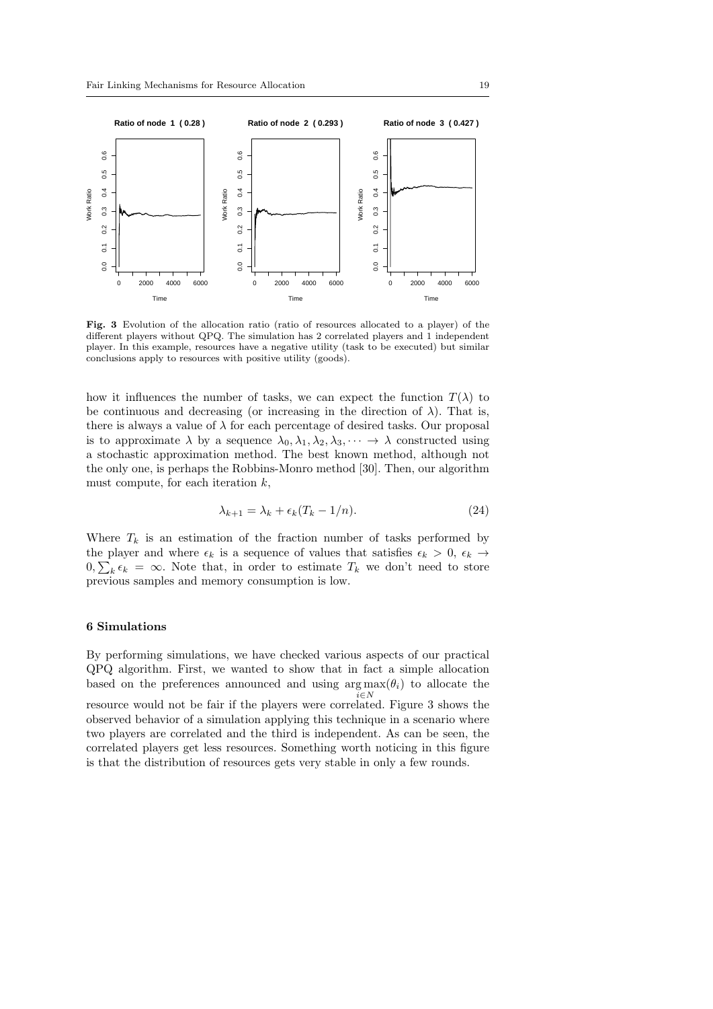

Fig. 3 Evolution of the allocation ratio (ratio of resources allocated to a player) of the different players without QPQ. The simulation has 2 correlated players and 1 independent player. In this example, resources have a negative utility (task to be executed) but similar conclusions apply to resources with positive utility (goods).

how it influences the number of tasks, we can expect the function  $T(\lambda)$  to be continuous and decreasing (or increasing in the direction of  $\lambda$ ). That is, there is always a value of  $\lambda$  for each percentage of desired tasks. Our proposal is to approximate  $\lambda$  by a sequence  $\lambda_0, \lambda_1, \lambda_2, \lambda_3, \dots \to \lambda$  constructed using a stochastic approximation method. The best known method, although not the only one, is perhaps the Robbins-Monro method [30]. Then, our algorithm must compute, for each iteration  $k$ ,

$$
\lambda_{k+1} = \lambda_k + \epsilon_k (T_k - 1/n). \tag{24}
$$

Where  $T_k$  is an estimation of the fraction number of tasks performed by the player and where  $\epsilon_k$  is a sequence of values that satisfies  $\epsilon_k > 0$ ,  $\epsilon_k \to$  $0, \sum_{k} \epsilon_k = \infty$ . Note that, in order to estimate  $T_k$  we don't need to store previous samples and memory consumption is low.

# 6 Simulations

By performing simulations, we have checked various aspects of our practical QPQ algorithm. First, we wanted to show that in fact a simple allocation based on the preferences announced and using  $\arg \max(\theta_i)$  to allocate the i∈N resource would not be fair if the players were correlated. Figure 3 shows the observed behavior of a simulation applying this technique in a scenario where two players are correlated and the third is independent. As can be seen, the correlated players get less resources. Something worth noticing in this figure is that the distribution of resources gets very stable in only a few rounds.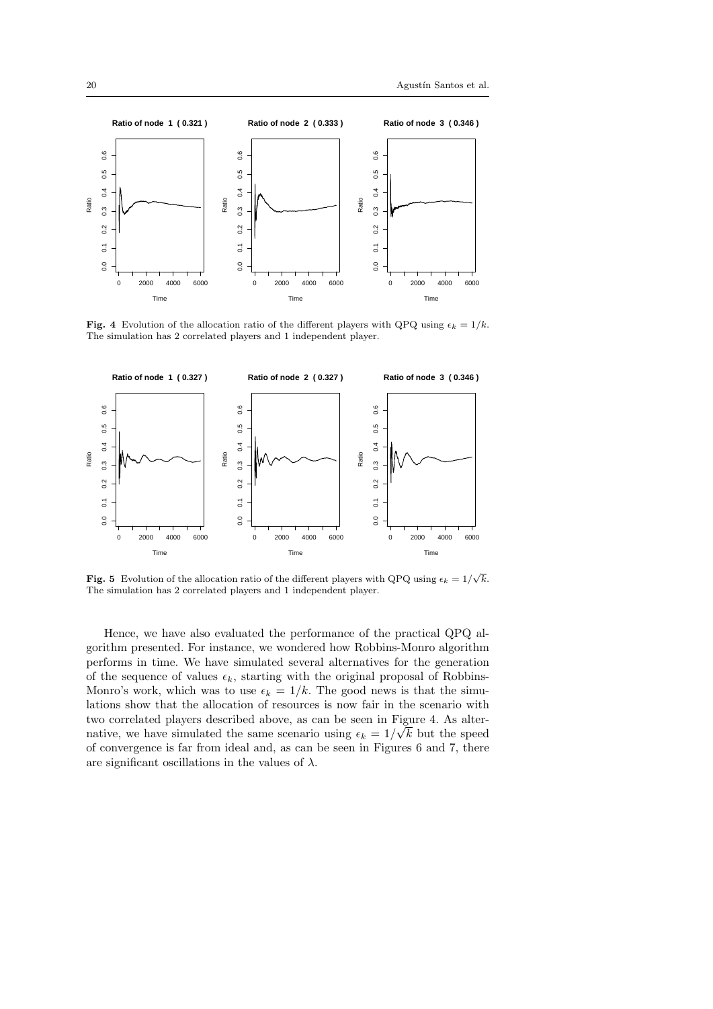

Fig. 4 Evolution of the allocation ratio of the different players with QPQ using  $\epsilon_k = 1/k$ . The simulation has 2 correlated players and 1 independent player.



**Fig. 5** Evolution of the allocation ratio of the different players with QPQ using  $\epsilon_k = 1/\sqrt{k}$ . The simulation has 2 correlated players and 1 independent player.

Hence, we have also evaluated the performance of the practical QPQ algorithm presented. For instance, we wondered how Robbins-Monro algorithm performs in time. We have simulated several alternatives for the generation of the sequence of values  $\epsilon_k$ , starting with the original proposal of Robbins-Monro's work, which was to use  $\epsilon_k = 1/k$ . The good news is that the simulations show that the allocation of resources is now fair in the scenario with two correlated players described above, as can be seen in Figure 4. As alternative, we have simulated the same scenario using  $\epsilon_k = 1/\sqrt{k}$  but the speed of convergence is far from ideal and, as can be seen in Figures 6 and 7, there are significant oscillations in the values of  $\lambda$ .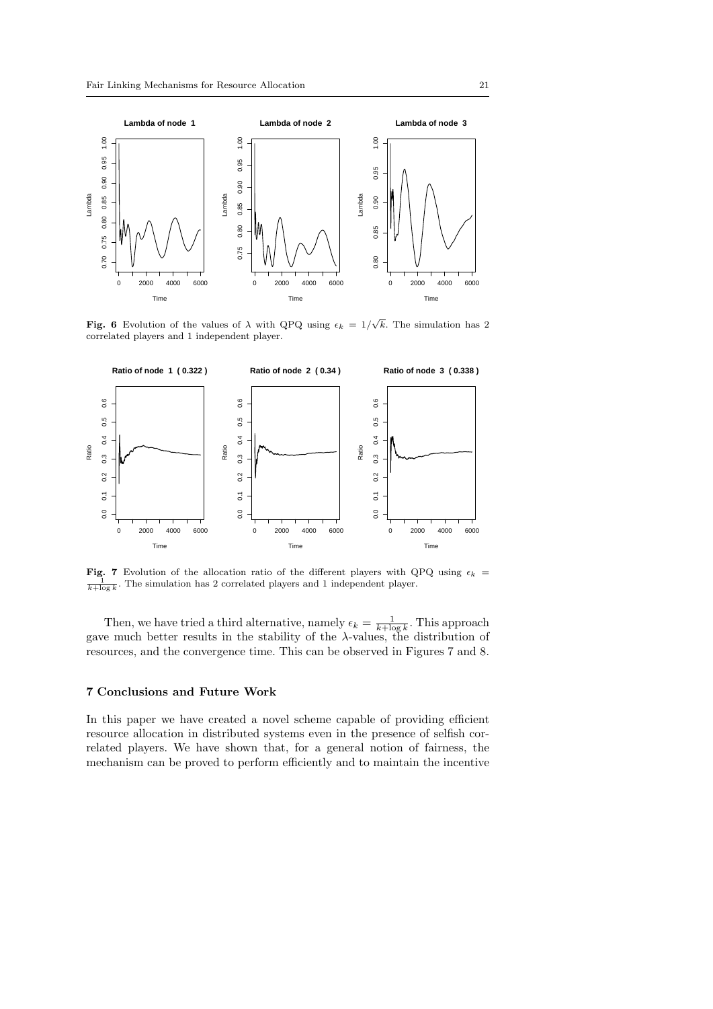

**Fig. 6** Evolution of the values of  $\lambda$  with QPQ using  $\epsilon_k = 1/\sqrt{k}$ . The simulation has 2 correlated players and 1 independent player.



Fig. 7 Evolution of the allocation ratio of the different players with QPQ using  $\epsilon_k$  =  $\frac{1}{k+\log k}$ . The simulation has 2 correlated players and 1 independent player.

Then, we have tried a third alternative, namely  $\epsilon_k = \frac{1}{k + \log k}$ . This approach gave much better results in the stability of the  $\lambda$ -values, the distribution of resources, and the convergence time. This can be observed in Figures 7 and 8.

# 7 Conclusions and Future Work

In this paper we have created a novel scheme capable of providing efficient resource allocation in distributed systems even in the presence of selfish correlated players. We have shown that, for a general notion of fairness, the mechanism can be proved to perform efficiently and to maintain the incentive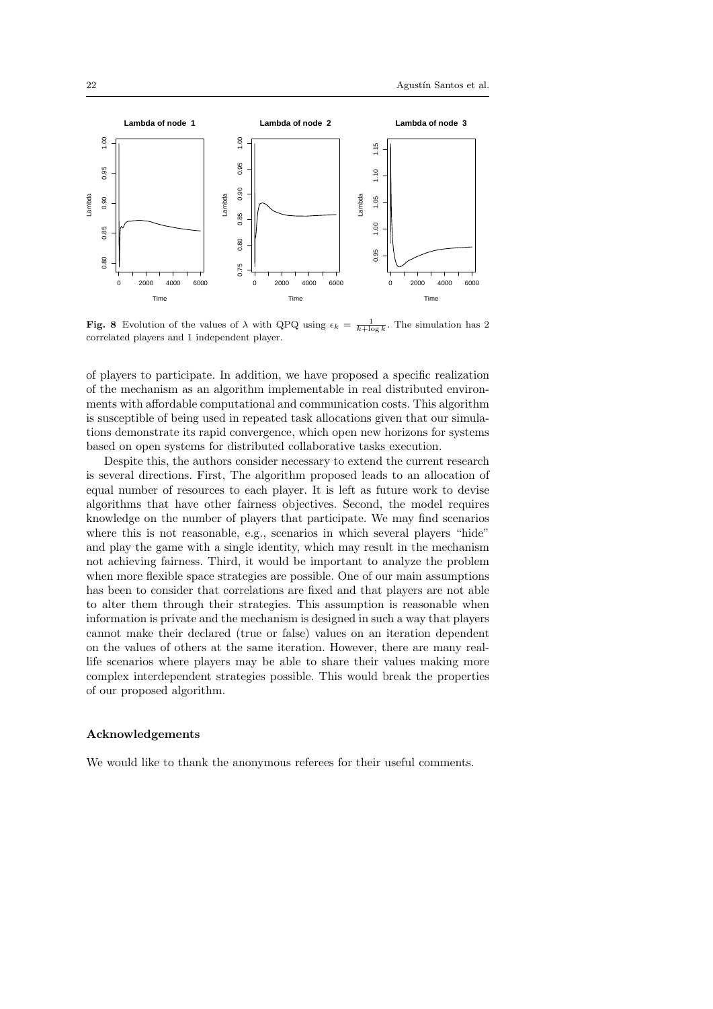

**Fig. 8** Evolution of the values of  $\lambda$  with QPQ using  $\epsilon_k = \frac{1}{k + \log k}$ . The simulation has 2 correlated players and 1 independent player.

of players to participate. In addition, we have proposed a specific realization of the mechanism as an algorithm implementable in real distributed environments with affordable computational and communication costs. This algorithm is susceptible of being used in repeated task allocations given that our simulations demonstrate its rapid convergence, which open new horizons for systems based on open systems for distributed collaborative tasks execution.

Despite this, the authors consider necessary to extend the current research is several directions. First, The algorithm proposed leads to an allocation of equal number of resources to each player. It is left as future work to devise algorithms that have other fairness objectives. Second, the model requires knowledge on the number of players that participate. We may find scenarios where this is not reasonable, e.g., scenarios in which several players "hide" and play the game with a single identity, which may result in the mechanism not achieving fairness. Third, it would be important to analyze the problem when more flexible space strategies are possible. One of our main assumptions has been to consider that correlations are fixed and that players are not able to alter them through their strategies. This assumption is reasonable when information is private and the mechanism is designed in such a way that players cannot make their declared (true or false) values on an iteration dependent on the values of others at the same iteration. However, there are many reallife scenarios where players may be able to share their values making more complex interdependent strategies possible. This would break the properties of our proposed algorithm.

#### Acknowledgements

We would like to thank the anonymous referees for their useful comments.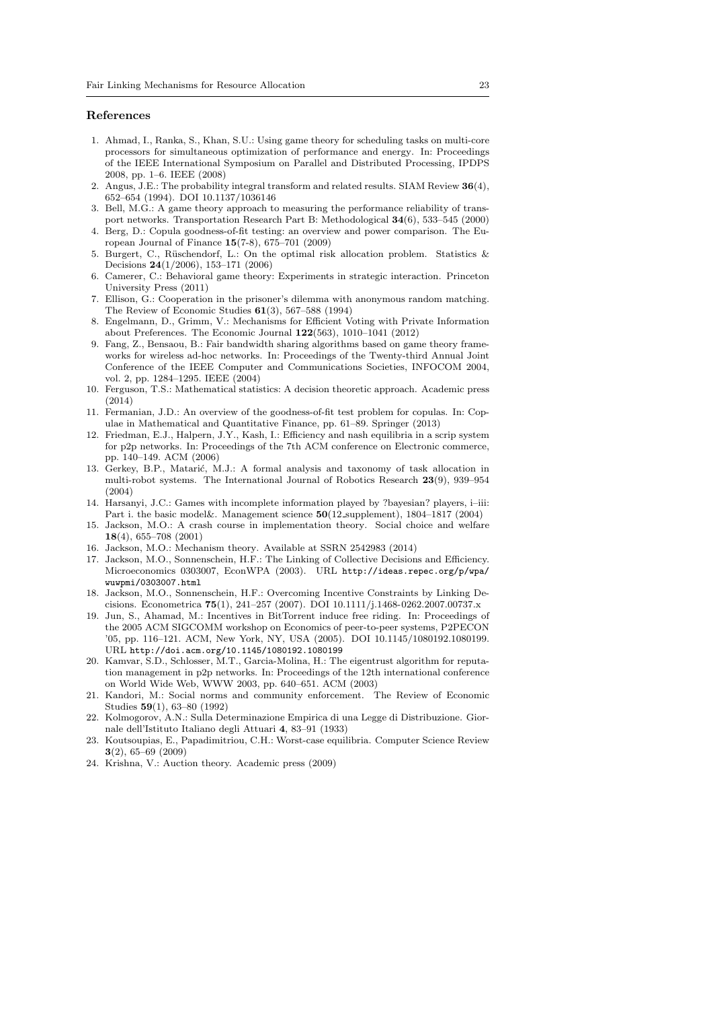#### References

- 1. Ahmad, I., Ranka, S., Khan, S.U.: Using game theory for scheduling tasks on multi-core processors for simultaneous optimization of performance and energy. In: Proceedings of the IEEE International Symposium on Parallel and Distributed Processing, IPDPS 2008, pp. 1–6. IEEE (2008)
- 2. Angus, J.E.: The probability integral transform and related results. SIAM Review 36(4), 652–654 (1994). DOI 10.1137/1036146
- 3. Bell, M.G.: A game theory approach to measuring the performance reliability of transport networks. Transportation Research Part B: Methodological 34(6), 533–545 (2000)
- 4. Berg, D.: Copula goodness-of-fit testing: an overview and power comparison. The European Journal of Finance 15(7-8), 675–701 (2009)
- 5. Burgert, C., Rüschendorf, L.: On the optimal risk allocation problem. Statistics & Decisions 24(1/2006), 153–171 (2006)
- 6. Camerer, C.: Behavioral game theory: Experiments in strategic interaction. Princeton University Press (2011)
- 7. Ellison, G.: Cooperation in the prisoner's dilemma with anonymous random matching. The Review of Economic Studies 61(3), 567–588 (1994)
- 8. Engelmann, D., Grimm, V.: Mechanisms for Efficient Voting with Private Information about Preferences. The Economic Journal 122(563), 1010–1041 (2012)
- 9. Fang, Z., Bensaou, B.: Fair bandwidth sharing algorithms based on game theory frameworks for wireless ad-hoc networks. In: Proceedings of the Twenty-third Annual Joint Conference of the IEEE Computer and Communications Societies, INFOCOM 2004, vol. 2, pp. 1284–1295. IEEE (2004)
- 10. Ferguson, T.S.: Mathematical statistics: A decision theoretic approach. Academic press (2014)
- 11. Fermanian, J.D.: An overview of the goodness-of-fit test problem for copulas. In: Copulae in Mathematical and Quantitative Finance, pp. 61–89. Springer (2013)
- 12. Friedman, E.J., Halpern, J.Y., Kash, I.: Efficiency and nash equilibria in a scrip system for p2p networks. In: Proceedings of the 7th ACM conference on Electronic commerce, pp. 140–149. ACM (2006)
- 13. Gerkey, B.P., Matarić, M.J.: A formal analysis and taxonomy of task allocation in multi-robot systems. The International Journal of Robotics Research 23(9), 939–954 (2004)
- 14. Harsanyi, J.C.: Games with incomplete information played by ?bayesian? players, i–iii: Part i. the basic model&. Management science 50(12 supplement), 1804–1817 (2004)
- 15. Jackson, M.O.: A crash course in implementation theory. Social choice and welfare 18(4), 655–708 (2001)
- 16. Jackson, M.O.: Mechanism theory. Available at SSRN 2542983 (2014)
- 17. Jackson, M.O., Sonnenschein, H.F.: The Linking of Collective Decisions and Efficiency. Microeconomics 0303007, EconWPA (2003). URL http://ideas.repec.org/p/wpa/ wuwpmi/0303007.html
- 18. Jackson, M.O., Sonnenschein, H.F.: Overcoming Incentive Constraints by Linking Decisions. Econometrica 75(1), 241–257 (2007). DOI 10.1111/j.1468-0262.2007.00737.x
- 19. Jun, S., Ahamad, M.: Incentives in BitTorrent induce free riding. In: Proceedings of the 2005 ACM SIGCOMM workshop on Economics of peer-to-peer systems, P2PECON '05, pp. 116–121. ACM, New York, NY, USA (2005). DOI 10.1145/1080192.1080199. URL http://doi.acm.org/10.1145/1080192.1080199
- 20. Kamvar, S.D., Schlosser, M.T., Garcia-Molina, H.: The eigentrust algorithm for reputation management in p2p networks. In: Proceedings of the 12th international conference on World Wide Web, WWW 2003, pp. 640–651. ACM (2003)
- 21. Kandori, M.: Social norms and community enforcement. The Review of Economic Studies 59(1), 63–80 (1992)
- 22. Kolmogorov, A.N.: Sulla Determinazione Empirica di una Legge di Distribuzione. Giornale dell'Istituto Italiano degli Attuari 4, 83–91 (1933)
- 23. Koutsoupias, E., Papadimitriou, C.H.: Worst-case equilibria. Computer Science Review 3(2), 65–69 (2009)
- 24. Krishna, V.: Auction theory. Academic press (2009)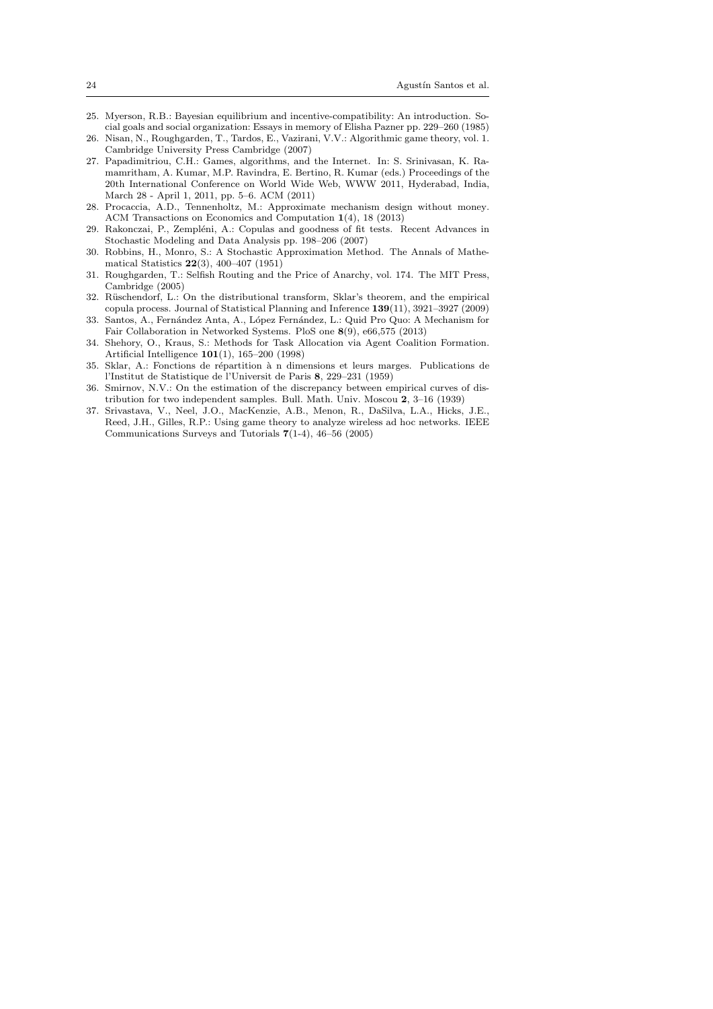- 25. Myerson, R.B.: Bayesian equilibrium and incentive-compatibility: An introduction. Social goals and social organization: Essays in memory of Elisha Pazner pp. 229–260 (1985)
- 26. Nisan, N., Roughgarden, T., Tardos, E., Vazirani, V.V.: Algorithmic game theory, vol. 1. Cambridge University Press Cambridge (2007)
- 27. Papadimitriou, C.H.: Games, algorithms, and the Internet. In: S. Srinivasan, K. Ramamritham, A. Kumar, M.P. Ravindra, E. Bertino, R. Kumar (eds.) Proceedings of the 20th International Conference on World Wide Web, WWW 2011, Hyderabad, India, March 28 - April 1, 2011, pp. 5–6. ACM (2011)
- 28. Procaccia, A.D., Tennenholtz, M.: Approximate mechanism design without money. ACM Transactions on Economics and Computation 1(4), 18 (2013)
- 29. Rakonczai, P., Zempléni, A.: Copulas and goodness of fit tests. Recent Advances in Stochastic Modeling and Data Analysis pp. 198–206 (2007)
- 30. Robbins, H., Monro, S.: A Stochastic Approximation Method. The Annals of Mathematical Statistics 22(3), 400–407 (1951)
- 31. Roughgarden, T.: Selfish Routing and the Price of Anarchy, vol. 174. The MIT Press, Cambridge (2005)
- 32. Rüschendorf, L.: On the distributional transform, Sklar's theorem, and the empirical copula process. Journal of Statistical Planning and Inference 139(11), 3921–3927 (2009)
- 33. Santos, A., Fernández Anta, A., López Fernández, L.: Quid Pro Quo: A Mechanism for Fair Collaboration in Networked Systems. PloS one 8(9), e66,575 (2013)
- 34. Shehory, O., Kraus, S.: Methods for Task Allocation via Agent Coalition Formation. Artificial Intelligence 101(1), 165–200 (1998)
- 35. Sklar, A.: Fonctions de répartition à n dimensions et leurs marges. Publications de l'Institut de Statistique de l'Universit de Paris 8, 229–231 (1959)
- 36. Smirnov, N.V.: On the estimation of the discrepancy between empirical curves of distribution for two independent samples. Bull. Math. Univ. Moscou 2, 3–16 (1939)
- 37. Srivastava, V., Neel, J.O., MacKenzie, A.B., Menon, R., DaSilva, L.A., Hicks, J.E. Reed, J.H., Gilles, R.P.: Using game theory to analyze wireless ad hoc networks. IEEE Communications Surveys and Tutorials 7(1-4), 46–56 (2005)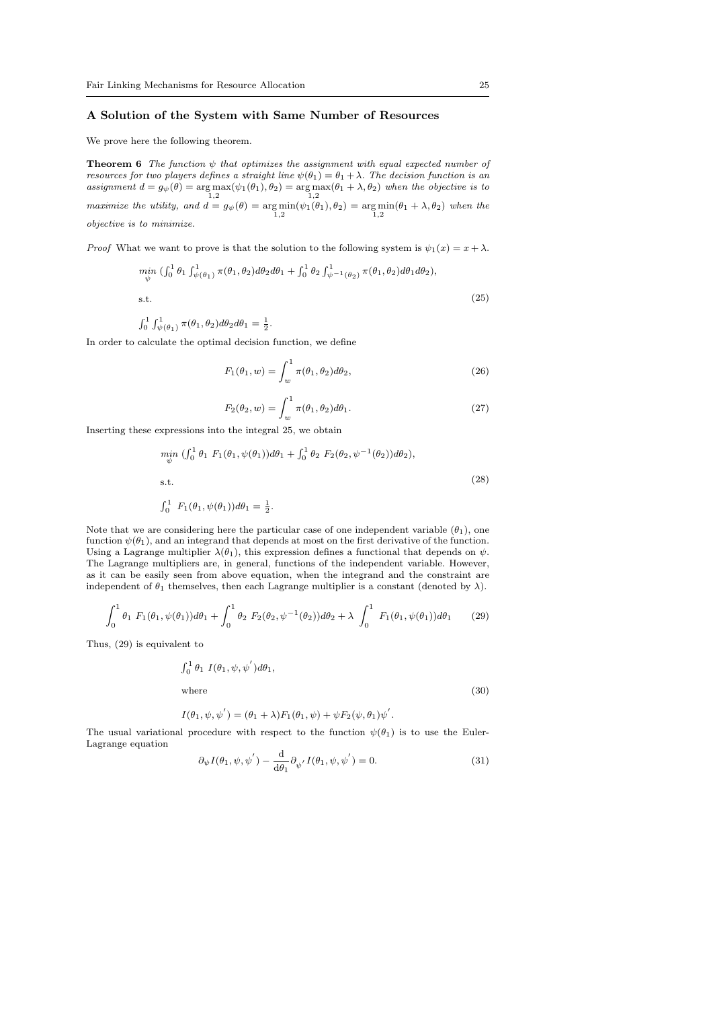#### A Solution of the System with Same Number of Resources

We prove here the following theorem.

**Theorem 6** The function  $\psi$  that optimizes the assignment with equal expected number of resources for two players defines a straight line  $\psi(\theta_1) = \theta_1 + \lambda$ . The decision function is an assignment  $d = g_{\psi}(\theta) = \arg \max_{1,2} (\psi_1(\theta_1), \theta_2) = \arg \max_{1,2} (\theta_1 + \lambda, \theta_2)$  when the objective is to maximize the utility, and  $d = g_{\psi}(\theta) = \arg \min_{1,2} (\psi_1(\theta_1), \theta_2) = \arg \min_{1,2} (\theta_1 + \lambda, \theta_2)$  when the objective is to minimize.

*Proof* What we want to prove is that the solution to the following system is  $\psi_1(x) = x + \lambda$ .

$$
\min_{\psi} \left( \int_0^1 \theta_1 \int_{\psi(\theta_1)}^1 \pi(\theta_1, \theta_2) d\theta_2 d\theta_1 + \int_0^1 \theta_2 \int_{\psi^{-1}(\theta_2)}^1 \pi(\theta_1, \theta_2) d\theta_1 d\theta_2 \right),
$$
  
s.t. (25)

 $\int_0^1 \int_{\psi(\theta_1)}^1 \pi(\theta_1, \theta_2) d\theta_2 d\theta_1 = \frac{1}{2}.$ 

In order to calculate the optimal decision function, we define

$$
F_1(\theta_1, w) = \int_w^1 \pi(\theta_1, \theta_2) d\theta_2,
$$
\n(26)

$$
F_2(\theta_2, w) = \int_w^1 \pi(\theta_1, \theta_2) d\theta_1.
$$
 (27)

Inserting these expressions into the integral 25, we obtain

$$
\min_{\psi} \left( \int_0^1 \theta_1 \ F_1(\theta_1, \psi(\theta_1)) d\theta_1 + \int_0^1 \theta_2 \ F_2(\theta_2, \psi^{-1}(\theta_2)) d\theta_2 \right),
$$
  
s.t.  

$$
\int_0^1 \ F_1(\theta_1, \psi(\theta_1)) d\theta_1 = \frac{1}{2}.
$$
 (28)

Note that we are considering here the particular case of one independent variable  $(\theta_1)$ , one function  $\psi(\theta_1)$ , and an integrand that depends at most on the first derivative of the function. Using a Lagrange multiplier  $\lambda(\theta_1)$ , this expression defines a functional that depends on  $\psi$ . The Lagrange multipliers are, in general, functions of the independent variable. However, as it can be easily seen from above equation, when the integrand and the constraint are independent of  $\theta_1$  themselves, then each Lagrange multiplier is a constant (denoted by  $\lambda$ ).

$$
\int_0^1 \theta_1 \ F_1(\theta_1, \psi(\theta_1)) d\theta_1 + \int_0^1 \theta_2 \ F_2(\theta_2, \psi^{-1}(\theta_2)) d\theta_2 + \lambda \int_0^1 \ F_1(\theta_1, \psi(\theta_1)) d\theta_1 \tag{29}
$$

Thus, (29) is equivalent to

$$
\int_0^1 \theta_1 I(\theta_1, \psi, \psi') d\theta_1,
$$
where

where

$$
I(\theta_1, \psi, \psi') = (\theta_1 + \lambda) F_1(\theta_1, \psi) + \psi F_2(\psi, \theta_1) \psi'.
$$

The usual variational procedure with respect to the function  $\psi(\theta_1)$  is to use the Euler-Lagrange equation

$$
\partial_{\psi} I(\theta_1, \psi, \psi') - \frac{\mathrm{d}}{\mathrm{d}\theta_1} \partial_{\psi'} I(\theta_1, \psi, \psi') = 0. \tag{31}
$$

(30)